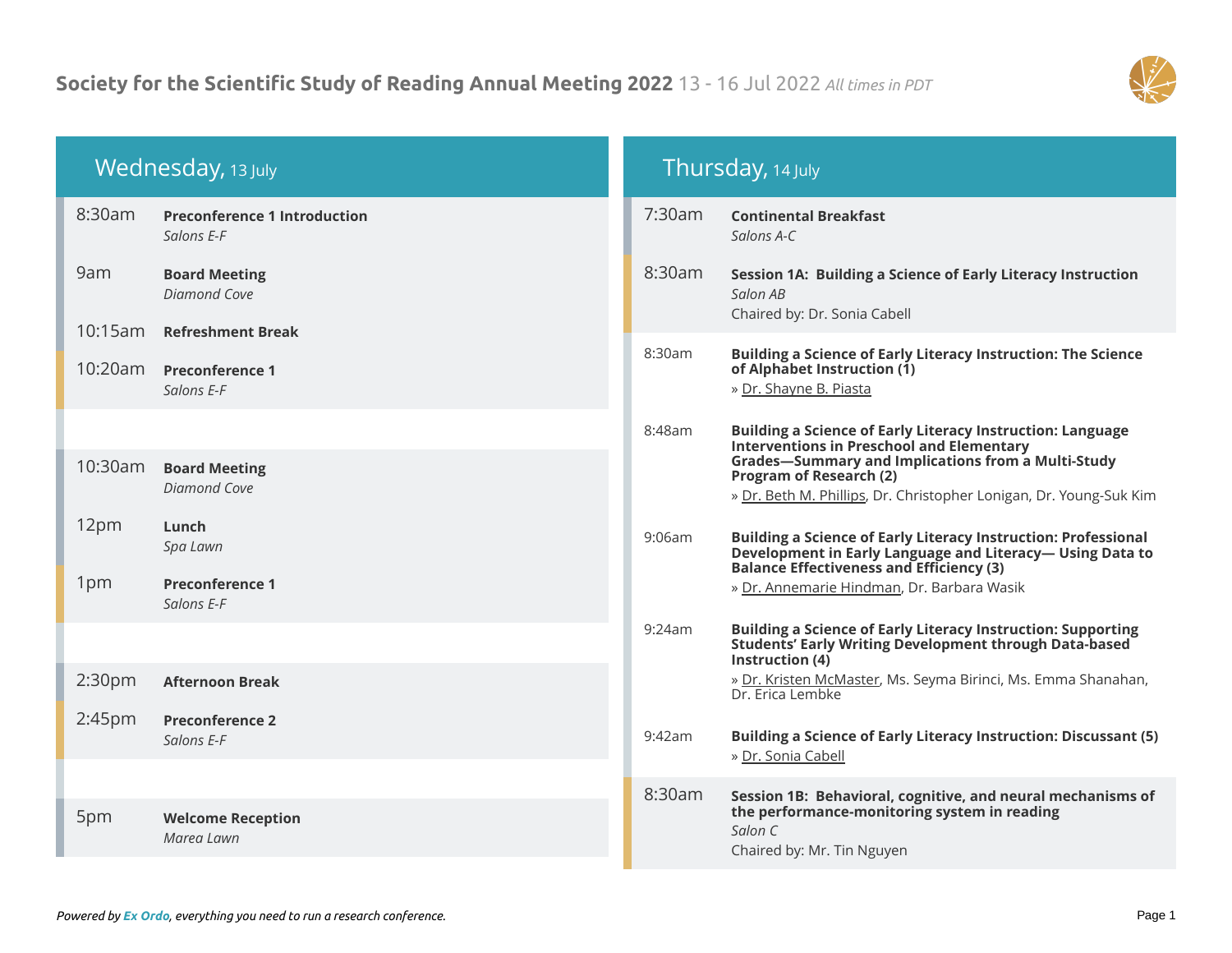

| Wednesday, 13 July |                                                   | Thursday, 14 July |                                                                                                                                                                                      |  |
|--------------------|---------------------------------------------------|-------------------|--------------------------------------------------------------------------------------------------------------------------------------------------------------------------------------|--|
| 8:30am             | <b>Preconference 1 Introduction</b><br>Salons E-F | 7:30am            | <b>Continental Breakfast</b><br>Salons A-C                                                                                                                                           |  |
| 9am                | <b>Board Meeting</b><br><b>Diamond Cove</b>       | 8:30am            | Session 1A: Building a Science of Early Literacy Instruction<br>Salon AB<br>Chaired by: Dr. Sonia Cabell                                                                             |  |
| 10:15am            | <b>Refreshment Break</b>                          |                   |                                                                                                                                                                                      |  |
| 10:20am            | <b>Preconference 1</b><br>Salons E-F              | 8:30am            | <b>Building a Science of Early Literacy Instruction: The Science</b><br>of Alphabet Instruction (1)<br>» Dr. Shayne B. Piasta                                                        |  |
|                    |                                                   | 8:48am            | <b>Building a Science of Early Literacy Instruction: Language</b><br><b>Interventions in Preschool and Elementary</b>                                                                |  |
| 10:30am            | <b>Board Meeting</b><br><b>Diamond Cove</b>       |                   | <b>Grades-Summary and Implications from a Multi-Study</b><br><b>Program of Research (2)</b><br>» Dr. Beth M. Phillips, Dr. Christopher Lonigan, Dr. Young-Suk Kim                    |  |
| 12pm               | Lunch<br>Spa Lawn                                 | 9:06am            | <b>Building a Science of Early Literacy Instruction: Professional</b><br>Development in Early Language and Literacy-Using Data to<br><b>Balance Effectiveness and Efficiency (3)</b> |  |
| 1pm                | <b>Preconference 1</b><br>Salons E-F              |                   | » Dr. Annemarie Hindman, Dr. Barbara Wasik                                                                                                                                           |  |
|                    |                                                   | 9:24am            | <b>Building a Science of Early Literacy Instruction: Supporting</b><br>Students' Early Writing Development through Data-based<br>Instruction (4)                                     |  |
| 2:30 <sub>pm</sub> | <b>Afternoon Break</b>                            |                   | » Dr. Kristen McMaster, Ms. Seyma Birinci, Ms. Emma Shanahan,<br>Dr. Erica Lembke                                                                                                    |  |
| 2:45 <sub>pm</sub> | <b>Preconference 2</b><br>Salons E-F              | 9:42am            | <b>Building a Science of Early Literacy Instruction: Discussant (5)</b><br>» Dr. Sonia Cabell                                                                                        |  |
|                    |                                                   | 8:30am            | Session 1B: Behavioral, cognitive, and neural mechanisms of                                                                                                                          |  |
| 5pm                | <b>Welcome Reception</b><br>Marea Lawn            |                   | the performance-monitoring system in reading<br>Salon C<br>Chaired by: Mr. Tin Nguyen                                                                                                |  |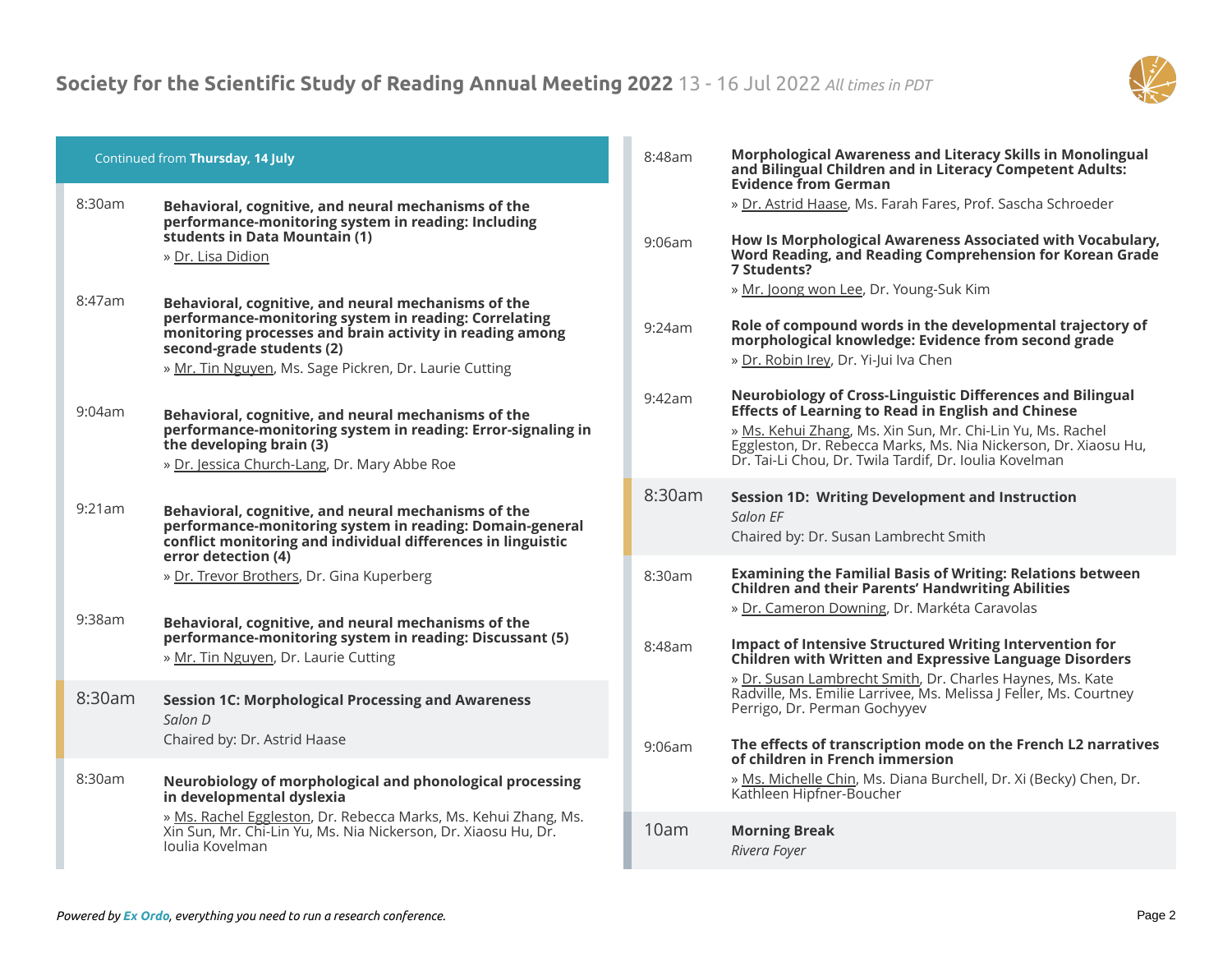

|           | Continued from Thursday, 14 July                                                                                                                                                                                                                                | 8:48am | Morphological Awareness and Literacy Skills in Monolingual<br>and Bilingual Children and in Literacy Competent Adults:<br><b>Evidence from German</b>                                                                                                                                                                     |
|-----------|-----------------------------------------------------------------------------------------------------------------------------------------------------------------------------------------------------------------------------------------------------------------|--------|---------------------------------------------------------------------------------------------------------------------------------------------------------------------------------------------------------------------------------------------------------------------------------------------------------------------------|
| 8:30am    | Behavioral, cognitive, and neural mechanisms of the<br>performance-monitoring system in reading: Including<br>students in Data Mountain (1)<br>» Dr. Lisa Didion                                                                                                | 9:06am | » Dr. Astrid Haase, Ms. Farah Fares, Prof. Sascha Schroeder<br>How Is Morphological Awareness Associated with Vocabulary,<br>Word Reading, and Reading Comprehension for Korean Grade<br>7 Students?                                                                                                                      |
| 8:47am    | Behavioral, cognitive, and neural mechanisms of the<br>performance-monitoring system in reading: Correlating<br>monitoring processes and brain activity in reading among<br>second-grade students (2)<br>» Mr. Tin Nguyen, Ms. Sage Pickren, Dr. Laurie Cutting | 9:24am | » Mr. Joong won Lee, Dr. Young-Suk Kim<br>Role of compound words in the developmental trajectory of<br>morphological knowledge: Evidence from second grade<br>» Dr. Robin Irey, Dr. Yi-Jui Iva Chen                                                                                                                       |
| 9:04am    | Behavioral, cognitive, and neural mechanisms of the<br>performance-monitoring system in reading: Error-signaling in<br>the developing brain (3)<br>» Dr. Jessica Church-Lang, Dr. Mary Abbe Roe                                                                 | 9:42am | <b>Neurobiology of Cross-Linguistic Differences and Bilingual</b><br><b>Effects of Learning to Read in English and Chinese</b><br>» Ms. Kehui Zhang, Ms. Xin Sun, Mr. Chi-Lin Yu, Ms. Rachel<br>Eggleston, Dr. Rebecca Marks, Ms. Nia Nickerson, Dr. Xiaosu Hu,<br>Dr. Tai-Li Chou, Dr. Twila Tardif, Dr. Ioulia Kovelman |
| 9:21am    | Behavioral, cognitive, and neural mechanisms of the<br>performance-monitoring system in reading: Domain-general<br>conflict monitoring and individual differences in linguistic<br>error detection (4)                                                          | 8:30am | <b>Session 1D: Writing Development and Instruction</b><br>Salon EF<br>Chaired by: Dr. Susan Lambrecht Smith                                                                                                                                                                                                               |
| $9:38$ am | » Dr. Trevor Brothers, Dr. Gina Kuperberg<br>Behavioral, cognitive, and neural mechanisms of the                                                                                                                                                                | 8:30am | <b>Examining the Familial Basis of Writing: Relations between</b><br><b>Children and their Parents' Handwriting Abilities</b><br>» Dr. Cameron Downing, Dr. Markéta Caravolas                                                                                                                                             |
|           | performance-monitoring system in reading: Discussant (5)<br>» Mr. Tin Nguyen, Dr. Laurie Cutting                                                                                                                                                                | 8:48am | <b>Impact of Intensive Structured Writing Intervention for</b><br><b>Children with Written and Expressive Language Disorders</b><br>» Dr. Susan Lambrecht Smith, Dr. Charles Haynes, Ms. Kate                                                                                                                             |
| 8:30am    | <b>Session 1C: Morphological Processing and Awareness</b><br>Salon D<br>Chaired by: Dr. Astrid Haase                                                                                                                                                            | 9:06am | Radville, Ms. Emilie Larrivee, Ms. Melissa J Feller, Ms. Courtney<br>Perrigo, Dr. Perman Gochyyev<br>The effects of transcription mode on the French L2 narratives                                                                                                                                                        |
| 8:30am    | Neurobiology of morphological and phonological processing<br>in developmental dyslexia                                                                                                                                                                          |        | of children in French immersion<br>» Ms. Michelle Chin, Ms. Diana Burchell, Dr. Xi (Becky) Chen, Dr.<br>Kathleen Hipfner-Boucher                                                                                                                                                                                          |
|           | » Ms. Rachel Eggleston, Dr. Rebecca Marks, Ms. Kehui Zhang, Ms.<br>Xin Sun, Mr. Chi-Lin Yu, Ms. Nia Nickerson, Dr. Xiaosu Hu, Dr.<br>Joulia Kovelman                                                                                                            | 10am   | <b>Morning Break</b><br>Rivera Foyer                                                                                                                                                                                                                                                                                      |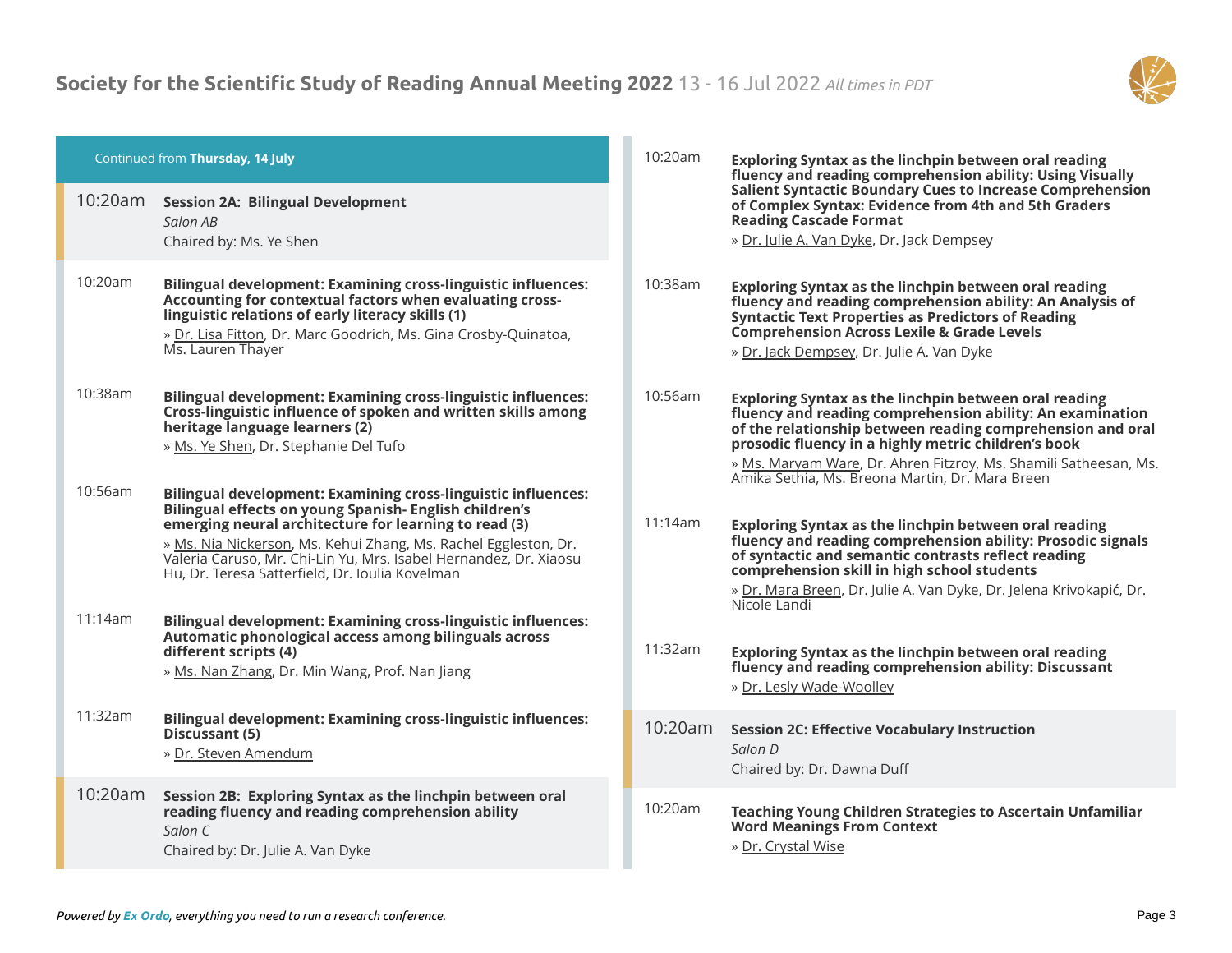

|         | Continued from Thursday, 14 July                                                                                                                                                                                                                                              | 10:20am | Exploring Syntax as the linchpin between oral reading<br>fluency and reading comprehension ability: Using Visually                                                                                                                                                                    |
|---------|-------------------------------------------------------------------------------------------------------------------------------------------------------------------------------------------------------------------------------------------------------------------------------|---------|---------------------------------------------------------------------------------------------------------------------------------------------------------------------------------------------------------------------------------------------------------------------------------------|
| 10:20am | <b>Session 2A: Bilingual Development</b><br>Salon AB<br>Chaired by: Ms. Ye Shen                                                                                                                                                                                               |         | Salient Syntactic Boundary Cues to Increase Comprehension<br>of Complex Syntax: Evidence from 4th and 5th Graders<br><b>Reading Cascade Format</b><br>» Dr. Julie A. Van Dyke, Dr. Jack Dempsey                                                                                       |
| 10:20am | <b>Bilingual development: Examining cross-linguistic influences:</b><br>Accounting for contextual factors when evaluating cross-<br>linguistic relations of early literacy skills (1)<br>» Dr. Lisa Fitton, Dr. Marc Goodrich, Ms. Gina Crosby-Quinatoa,<br>Ms. Lauren Thayer | 10:38am | Exploring Syntax as the linchpin between oral reading<br>fluency and reading comprehension ability: An Analysis of<br><b>Syntactic Text Properties as Predictors of Reading</b><br><b>Comprehension Across Lexile &amp; Grade Levels</b><br>» Dr. Jack Dempsey, Dr. Julie A. Van Dyke |
| 10:38am | <b>Bilingual development: Examining cross-linguistic influences:</b><br>Cross-linguistic influence of spoken and written skills among<br>heritage language learners (2)<br>» Ms. Ye Shen, Dr. Stephanie Del Tufo                                                              | 10:56am | Exploring Syntax as the linchpin between oral reading<br>fluency and reading comprehension ability: An examination<br>of the relationship between reading comprehension and oral<br>prosodic fluency in a highly metric children's book                                               |
| 10:56am | Bilingual development: Examining cross-linguistic influences:<br>Bilingual effects on young Spanish- English children's<br>emerging neural architecture for learning to read (3)                                                                                              | 11:14am | » Ms. Maryam Ware, Dr. Ahren Fitzroy, Ms. Shamili Satheesan, Ms.<br>Amika Sethia, Ms. Breona Martin, Dr. Mara Breen<br>Exploring Syntax as the linchpin between oral reading                                                                                                          |
|         | » Ms. Nia Nickerson, Ms. Kehui Zhang, Ms. Rachel Eggleston, Dr.<br>Valeria Caruso, Mr. Chi-Lin Yu, Mrs. Isabel Hernandez, Dr. Xiaosu<br>Hu, Dr. Teresa Satterfield, Dr. Ioulia Kovelman                                                                                       |         | fluency and reading comprehension ability: Prosodic signals<br>of syntactic and semantic contrasts reflect reading<br>comprehension skill in high school students<br>» Dr. Mara Breen, Dr. Julie A. Van Dyke, Dr. Jelena Krivokapić, Dr.                                              |
| 11:14am | <b>Bilingual development: Examining cross-linguistic influences:</b><br>Automatic phonological access among bilinguals across                                                                                                                                                 | 11:32am | Nicole Landi                                                                                                                                                                                                                                                                          |
|         | different scripts (4)<br>» Ms. Nan Zhang, Dr. Min Wang, Prof. Nan Jiang                                                                                                                                                                                                       |         | Exploring Syntax as the linchpin between oral reading<br>fluency and reading comprehension ability: Discussant<br>» Dr. Lesly Wade-Woolley                                                                                                                                            |
| 11:32am | Bilingual development: Examining cross-linguistic influences:<br>Discussant (5)<br>» Dr. Steven Amendum                                                                                                                                                                       | 10:20am | <b>Session 2C: Effective Vocabulary Instruction</b><br>Salon D<br>Chaired by: Dr. Dawna Duff                                                                                                                                                                                          |
| 10:20am | Session 2B: Exploring Syntax as the linchpin between oral<br>reading fluency and reading comprehension ability<br>Salon C<br>Chaired by: Dr. Julie A. Van Dyke                                                                                                                | 10:20am | <b>Teaching Young Children Strategies to Ascertain Unfamiliar</b><br><b>Word Meanings From Context</b><br>» Dr. Crystal Wise                                                                                                                                                          |
|         |                                                                                                                                                                                                                                                                               |         |                                                                                                                                                                                                                                                                                       |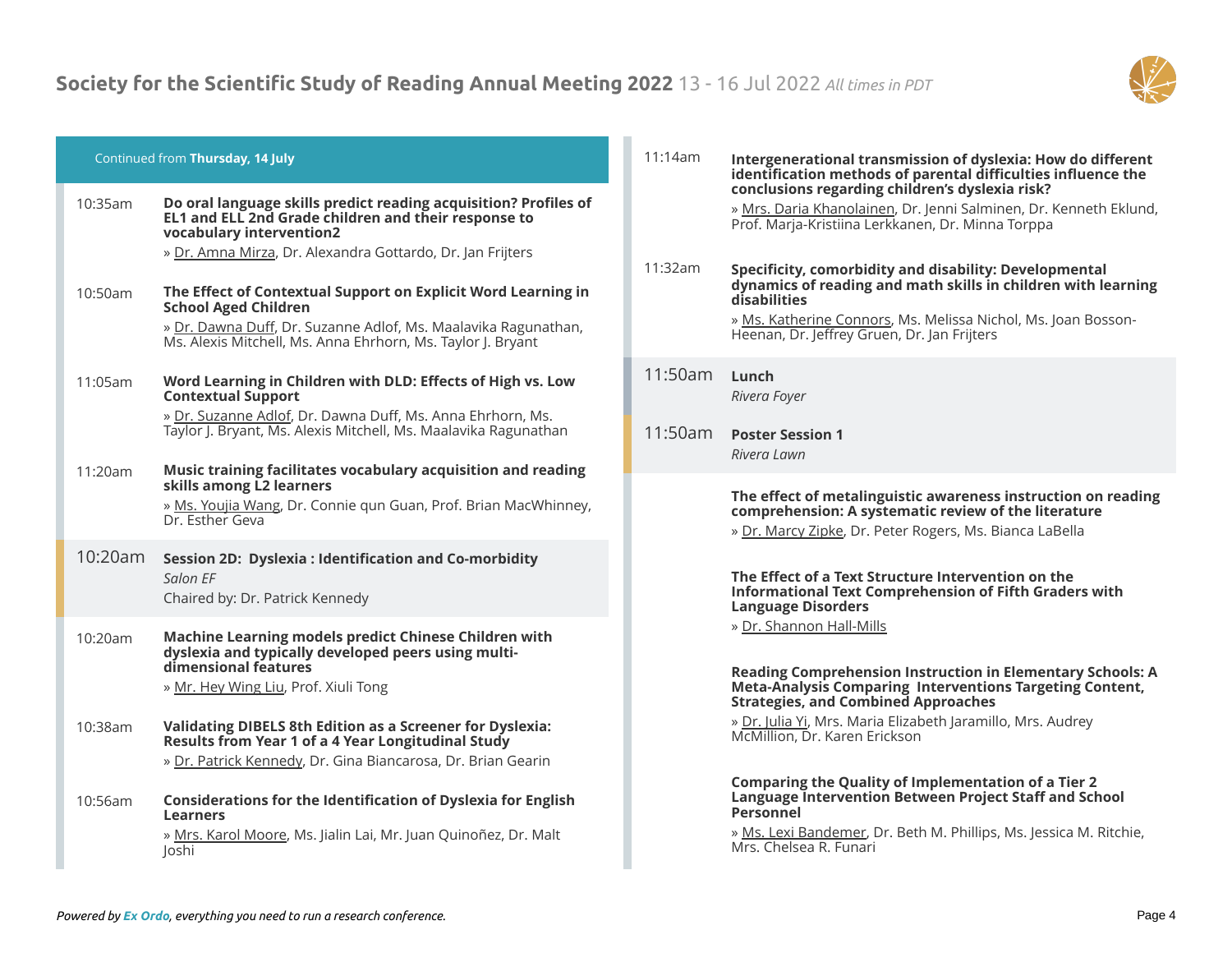

# Continued from **Thursday, 14 July**

| 10:35am | Do oral language skills predict reading acquisition? Profiles of<br>EL1 and ELL 2nd Grade children and their response to<br>vocabulary intervention2<br>» Dr. Amna Mirza, Dr. Alexandra Gottardo, Dr. Jan Frijters            |
|---------|-------------------------------------------------------------------------------------------------------------------------------------------------------------------------------------------------------------------------------|
| 10:50am | The Effect of Contextual Support on Explicit Word Learning in<br><b>School Aged Children</b><br>» Dr. Dawna Duff, Dr. Suzanne Adlof, Ms. Maalavika Ragunathan,<br>Ms. Alexis Mitchell, Ms. Anna Ehrhorn, Ms. Taylor J. Bryant |
| 11:05am | Word Learning in Children with DLD: Effects of High vs. Low<br><b>Contextual Support</b><br>» Dr. Suzanne Adlof, Dr. Dawna Duff, Ms. Anna Ehrhorn, Ms.<br>Taylor J. Bryant, Ms. Alexis Mitchell, Ms. Maalavika Ragunathan     |
| 11:20am | Music training facilitates vocabulary acquisition and reading<br>skills among L2 learners<br>» Ms. Youjia Wang, Dr. Connie qun Guan, Prof. Brian MacWhinney,<br>Dr. Esther Geva                                               |
| 10:20am | Session 2D: Dyslexia : Identification and Co-morbidity<br>Salon EF<br>Chaired by: Dr. Patrick Kennedy                                                                                                                         |
| 10:20am | Machine Learning models predict Chinese Children with<br>dyslexia and typically developed peers using multi-<br>dimensional features<br>» Mr. Hey Wing Liu, Prof. Xiuli Tong                                                  |
| 10:38am | Validating DIBELS 8th Edition as a Screener for Dyslexia:<br>Results from Year 1 of a 4 Year Longitudinal Study<br>» Dr. Patrick Kennedy, Dr. Gina Biancarosa, Dr. Brian Gearin                                               |
| 10:56am | Considerations for the Identification of Dyslexia for English<br>Learners<br>» Mrs. Karol Moore, Ms. Jialin Lai, Mr. Juan Quinoñez, Dr. Malt<br>Joshi                                                                         |

| 11:14am | Intergenerational transmission of dyslexia: How do different  |
|---------|---------------------------------------------------------------|
|         | identification methods of parental difficulties influence the |
|         | conclusions regarding children's dyslexia risk?               |

» Mrs. Daria Khanolainen, Dr. Jenni Salminen, Dr. Kenneth Eklund, Prof. Marja-Kristiina Lerkkanen, Dr. Minna Torppa

11:32am **Specificity, comorbidity and disability: Developmental dynamics of reading and math skills in children with learning disabilities** » Ms. Katherine Connors, Ms. Melissa Nichol, Ms. Joan Bosson-Heenan, Dr. Jeffrey Gruen, Dr. Jan Frijters

- 11:50am **Lunch** *Rivera Foyer*
- 11:50am **Poster Session 1** *Rivera Lawn*

#### **The effect of metalinguistic awareness instruction on reading comprehension: A systematic review of the literature**

» Dr. Marcy Zipke, Dr. Peter Rogers, Ms. Bianca LaBella

# **The Effect of a Text Structure Intervention on the Informational Text Comprehension of Fifth Graders with Language Disorders**

» Dr. Shannon Hall-Mills

# **Reading Comprehension Instruction in Elementary Schools: A Meta-Analysis Comparing Interventions Targeting Content, Strategies, and Combined Approaches**

» Dr. Julia Yi, Mrs. Maria Elizabeth Jaramillo, Mrs. Audrey McMillion, Dr. Karen Erickson

# **Comparing the Quality of Implementation of a Tier 2 Language Intervention Between Project Staff and School Personnel**

» Ms. Lexi Bandemer, Dr. Beth M. Phillips, Ms. Jessica M. Ritchie, Mrs. Chelsea R. Funari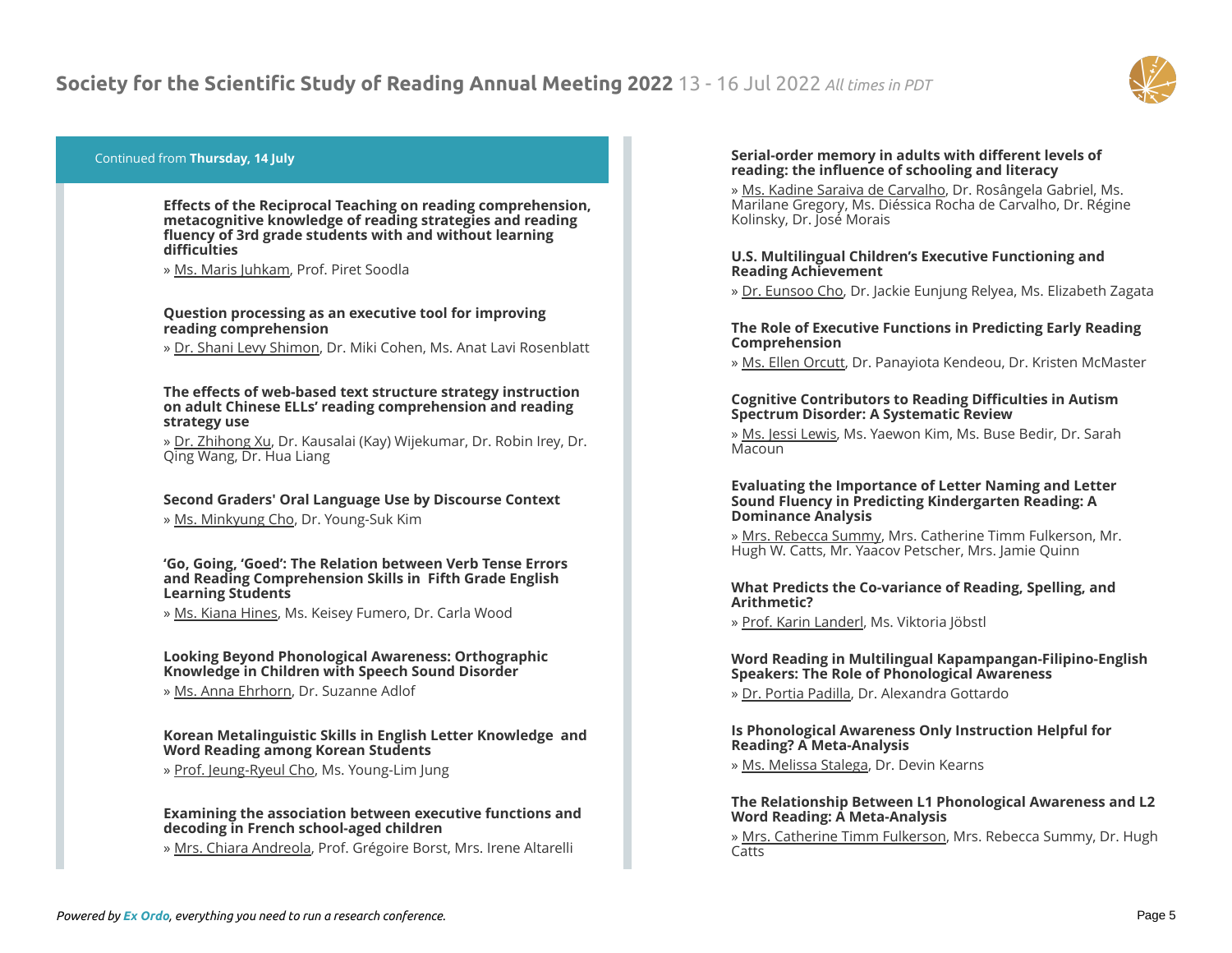

# Continued from **Thursday, 14 July**

**Effects of the Reciprocal Teaching on reading comprehension, metacognitive knowledge of reading strategies and reading fluency of 3rd grade students with and without learning difficulties**

» Ms. Maris Juhkam, Prof. Piret Soodla

# **Question processing as an executive tool for improving reading comprehension**

» Dr. Shani Levy Shimon, Dr. Miki Cohen, Ms. Anat Lavi Rosenblatt

# **The effects of web-based text structure strategy instruction on adult Chinese ELLs' reading comprehension and reading strategy use**

» Dr. Zhihong Xu, Dr. Kausalai (Kay) Wijekumar, Dr. Robin Irey, Dr. Qing Wang, Dr. Hua Liang

# **Second Graders' Oral Language Use by Discourse Context**

» Ms. Minkyung Cho, Dr. Young-Suk Kim

#### **'Go, Going, 'Goed': The Relation between Verb Tense Errors and Reading Comprehension Skills in Fifth Grade English Learning Students**

» Ms. Kiana Hines, Ms. Keisey Fumero, Dr. Carla Wood

# **Looking Beyond Phonological Awareness: Orthographic Knowledge in Children with Speech Sound Disorder**

» Ms. Anna Ehrhorn, Dr. Suzanne Adlof

# **Korean Metalinguistic Skills in English Letter Knowledge and Word Reading among Korean Students**

» Prof. Jeung-Ryeul Cho, Ms. Young-Lim Jung

#### **Examining the association between executive functions and decoding in French school-aged children**

» Mrs. Chiara Andreola, Prof. Grégoire Borst, Mrs. Irene Altarelli

# **Serial-order memory in adults with different levels of reading: the influence of schooling and literacy**

» Ms. Kadine Saraiva de Carvalho, Dr. Rosângela Gabriel, Ms. Marilane Gregory, Ms. Diéssica Rocha de Carvalho, Dr. Régine Kolinsky, Dr. José Morais

# **U.S. Multilingual Children's Executive Functioning and Reading Achievement**

» Dr. Eunsoo Cho, Dr. Jackie Eunjung Relyea, Ms. Elizabeth Zagata

#### **The Role of Executive Functions in Predicting Early Reading Comprehension**

» Ms. Ellen Orcutt, Dr. Panayiota Kendeou, Dr. Kristen McMaster

# **Cognitive Contributors to Reading Difficulties in Autism Spectrum Disorder: A Systematic Review**

» Ms. Jessi Lewis, Ms. Yaewon Kim, Ms. Buse Bedir, Dr. Sarah Macoun

# **Evaluating the Importance of Letter Naming and Letter Sound Fluency in Predicting Kindergarten Reading: A Dominance Analysis**

» Mrs. Rebecca Summy, Mrs. Catherine Timm Fulkerson, Mr. Hugh W. Catts, Mr. Yaacov Petscher, Mrs. Jamie Quinn

# **What Predicts the Co-variance of Reading, Spelling, and Arithmetic?**

» Prof. Karin Landerl, Ms. Viktoria Jöbstl

# **Word Reading in Multilingual Kapampangan-Filipino-English Speakers: The Role of Phonological Awareness**

» Dr. Portia Padilla, Dr. Alexandra Gottardo

# **Is Phonological Awareness Only Instruction Helpful for Reading? A Meta-Analysis**

» Ms. Melissa Stalega, Dr. Devin Kearns

# **The Relationship Between L1 Phonological Awareness and L2 Word Reading: A Meta-Analysis**

» Mrs. Catherine Timm Fulkerson, Mrs. Rebecca Summy, Dr. Hugh Catts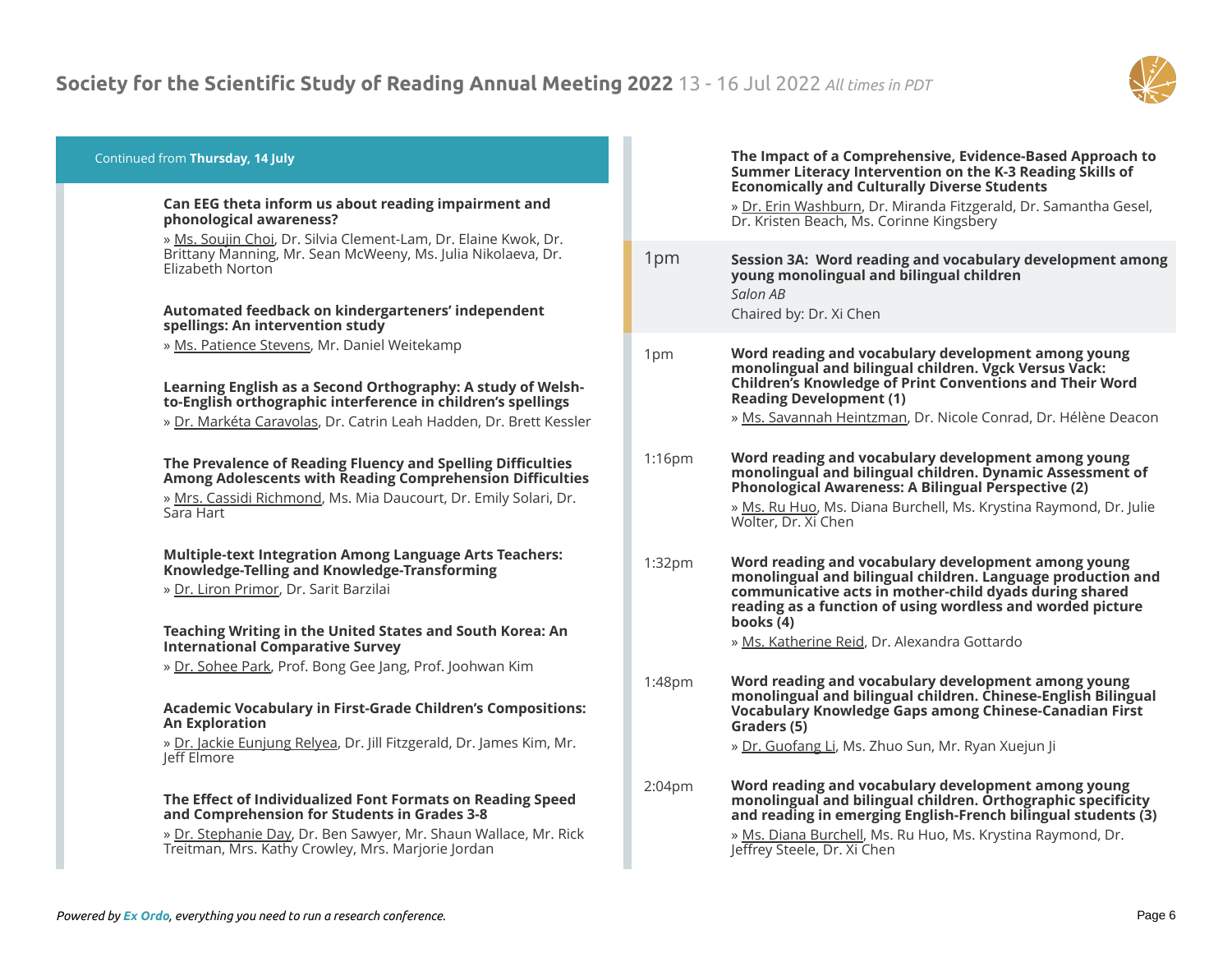

# Continued from **Thursday, 14 July**

#### **Can EEG theta inform us about reading impairment and phonological awareness?**

» Ms. Soujin Choi, Dr. Silvia Clement-Lam, Dr. Elaine Kwok, Dr. Brittany Manning, Mr. Sean McWeeny, Ms. Julia Nikolaeva, Dr. Elizabeth Norton

#### **Automated feedback on kindergarteners' independent spellings: An intervention study**

» Ms. Patience Stevens, Mr. Daniel Weitekamp

# **Learning English as a Second Orthography: A study of Welshto-English orthographic interference in children's spellings**

» Dr. Markéta Caravolas, Dr. Catrin Leah Hadden, Dr. Brett Kessler

# **The Prevalence of Reading Fluency and Spelling Difficulties Among Adolescents with Reading Comprehension Difficulties**

» Mrs. Cassidi Richmond, Ms. Mia Daucourt, Dr. Emily Solari, Dr. Sara Hart

# **Multiple-text Integration Among Language Arts Teachers: Knowledge-Telling and Knowledge-Transforming**

» Dr. Liron Primor, Dr. Sarit Barzilai

#### **Teaching Writing in the United States and South Korea: An International Comparative Survey**

» Dr. Sohee Park, Prof. Bong Gee Jang, Prof. Joohwan Kim

# **Academic Vocabulary in First-Grade Children's Compositions: An Exploration**

» Dr. Jackie Eunjung Relyea, Dr. Jill Fitzgerald, Dr. James Kim, Mr. Jeff Elmore

# **The Effect of Individualized Font Formats on Reading Speed and Comprehension for Students in Grades 3-8**

» Dr. Stephanie Day, Dr. Ben Sawyer, Mr. Shaun Wallace, Mr. Rick Treitman, Mrs. Kathy Crowley, Mrs. Marjorie Jordan

#### **The Impact of a Comprehensive, Evidence-Based Approach to Summer Literacy Intervention on the K-3 Reading Skills of Economically and Culturally Diverse Students**

» Dr. Erin Washburn, Dr. Miranda Fitzgerald, Dr. Samantha Gesel, Dr. Kristen Beach, Ms. Corinne Kingsbery

- 1pm **Session 3A: Word reading and vocabulary development among young monolingual and bilingual children** *Salon AB* Chaired by: Dr. Xi Chen
- 1pm **Word reading and vocabulary development among young monolingual and bilingual children. Vgck Versus Vack: Children's Knowledge of Print Conventions and Their Word Reading Development (1)**
	- » Ms. Savannah Heintzman, Dr. Nicole Conrad, Dr. Hélène Deacon

# 1:16pm **Word reading and vocabulary development among young monolingual and bilingual children. Dynamic Assessment of Phonological Awareness: A Bilingual Perspective (2)**

» Ms. Ru Huo, Ms. Diana Burchell, Ms. Krystina Raymond, Dr. Julie Wolter, Dr. Xi Chen

- 1:32pm **Word reading and vocabulary development among young monolingual and bilingual children. Language production and communicative acts in mother-child dyads during shared reading as a function of using wordless and worded picture books (4)**
	- » Ms. Katherine Reid, Dr. Alexandra Gottardo
- 1:48pm **Word reading and vocabulary development among young monolingual and bilingual children. Chinese-English Bilingual Vocabulary Knowledge Gaps among Chinese-Canadian First Graders (5)**
	- » Dr. Guofang Li, Ms. Zhuo Sun, Mr. Ryan Xuejun Ji

2:04pm **Word reading and vocabulary development among young monolingual and bilingual children. Orthographic specificity and reading in emerging English-French bilingual students (3)**

> » Ms. Diana Burchell, Ms. Ru Huo, Ms. Krystina Raymond, Dr. Jeffrey Steele, Dr. Xi Chen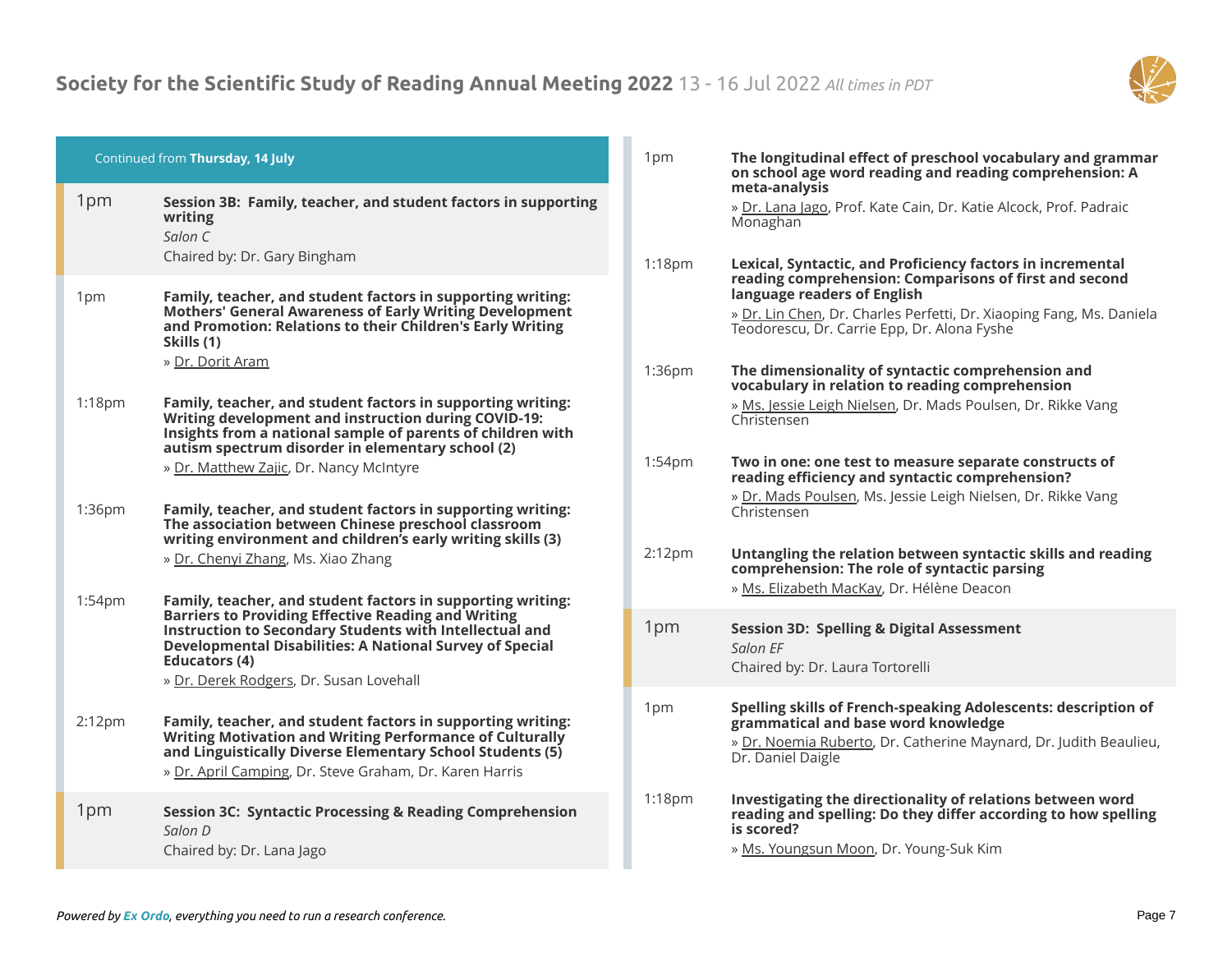

|                    | Continued from Thursday, 14 July                                                                                                                                                                                                                       | 1 <sub>pm</sub>    | <b>The longitu</b><br>on school a                               |
|--------------------|--------------------------------------------------------------------------------------------------------------------------------------------------------------------------------------------------------------------------------------------------------|--------------------|-----------------------------------------------------------------|
| 1pm                | Session 3B: Family, teacher, and student factors in supporting<br>writing<br>Salon C                                                                                                                                                                   |                    | meta-analy<br>» Dr. Lana Ja<br>Monaghan                         |
|                    | Chaired by: Dr. Gary Bingham                                                                                                                                                                                                                           | $1:18$ pm          | Lexical, Syr                                                    |
| 1pm                | Family, teacher, and student factors in supporting writing:<br><b>Mothers' General Awareness of Early Writing Development</b><br>and Promotion: Relations to their Children's Early Writing<br>Skills (1)                                              |                    | reading cor<br>language re<br>» Dr. Lin Che<br>Teodorescu       |
|                    | » Dr. Dorit Aram                                                                                                                                                                                                                                       | 1:36pm             | The dimens<br>vocabulary                                        |
| $1:18$ pm          | Family, teacher, and student factors in supporting writing:<br>Writing development and instruction during COVID-19:<br>Insights from a national sample of parents of children with                                                                     |                    | » Ms. Jessie<br>Christensen                                     |
|                    | autism spectrum disorder in elementary school (2)<br>» Dr. Matthew Zajic, Dr. Nancy McIntyre                                                                                                                                                           | 1:54pm             | Two in one:<br>reading eff                                      |
| 1:36pm             | Family, teacher, and student factors in supporting writing:<br>The association between Chinese preschool classroom<br>writing environment and children's early writing skills (3)                                                                      |                    | » Dr. Mads F<br>Christensen                                     |
|                    | » Dr. Chenyi Zhang, Ms. Xiao Zhang                                                                                                                                                                                                                     | 2:12 <sub>pm</sub> | <b>Untangling</b><br>comprehen<br>» Ms. Elizab                  |
| 1:54 <sub>pm</sub> | Family, teacher, and student factors in supporting writing:<br><b>Barriers to Providing Effective Reading and Writing</b>                                                                                                                              |                    |                                                                 |
|                    | Instruction to Secondary Students with Intellectual and<br>Developmental Disabilities: A National Survey of Special<br>Educators (4)                                                                                                                   | 1pm                | <b>Session 3D:</b><br>Salon EF<br>Chaired by:                   |
|                    | » Dr. Derek Rodgers, Dr. Susan Lovehall                                                                                                                                                                                                                |                    |                                                                 |
| 2:12 <sub>pm</sub> | Family, teacher, and student factors in supporting writing:<br><b>Writing Motivation and Writing Performance of Culturally</b><br>and Linguistically Diverse Elementary School Students (5)<br>» Dr. April Camping, Dr. Steve Graham, Dr. Karen Harris | 1pm                | <b>Spelling ski</b><br>grammatic<br>» Dr. Noemi<br>Dr. Daniel D |
| 1pm                | <b>Session 3C: Syntactic Processing &amp; Reading Comprehension</b><br>Salon D<br>Chaired by: Dr. Lana Jago                                                                                                                                            | $1:18$ pm          | Investigati<br>reading and<br>is scored?<br>» Ms. Young         |

 $1$ udinal effect of preschool vocabulary and grammar **on school age word reading and reading comprehension: A meta-analysis**

ago, Prof. Kate Cain, Dr. Katie Alcock, Prof. Padraic

- ntactic, and Proficiency factors in incremental **reading comprehension: Comparisons of first and second language readers of English** en, Dr. Charles Perfetti, Dr. Xiaoping Fang, Ms. Daniela I, Dr. Carrie Epp, Dr. Alona Fyshe sionality of syntactic comprehension and **v** in relation to reading comprehension Leigh Nielsen, Dr. Mads Poulsen, Dr. Rikke Vang
- $\mathbf{B}:$  one test to measure separate constructs of **reading efficiency and syntactic comprehension?** Poulsen, Ms. Jessie Leigh Nielsen, Dr. Rikke Vang
- **z** the relation between syntactic skills and reading **comprehension: The role of syntactic parsing** <u>veth MacKay</u>, Dr. Hélène Deacon
- **: Spelling & Digital Assessment** Dr. Laura Tortorelli
- **ills of French-speaking Adolescents: description of grammatical and base word knowledge** ia Ruberto, Dr. Catherine Maynard, Dr. Judith Beaulieu, Daigle
- ing the directionality of relations between word *d* **spelling: Do they differ according to how spelling** 
	- gsun Moon, Dr. Young-Suk Kim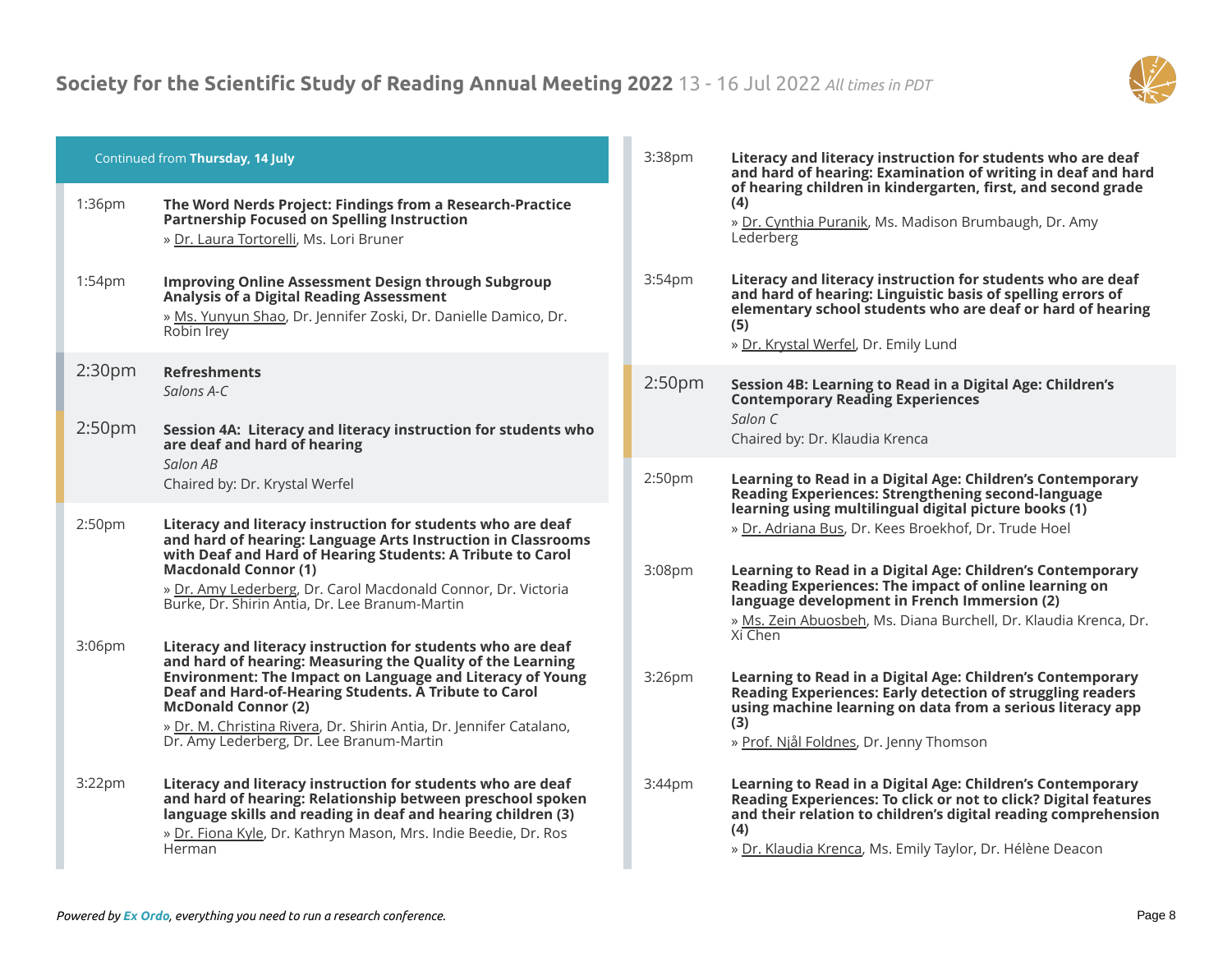

| Continued from Thursday, 14 July |                                                                                                                                                                                                                                                                                                                                                                                                         | 3:38pm             | Literacy and literacy instruction for students who are deaf<br>and hard of hearing: Examination of writing in deaf and hard                                                                                                                                                                                                                              |  |
|----------------------------------|---------------------------------------------------------------------------------------------------------------------------------------------------------------------------------------------------------------------------------------------------------------------------------------------------------------------------------------------------------------------------------------------------------|--------------------|----------------------------------------------------------------------------------------------------------------------------------------------------------------------------------------------------------------------------------------------------------------------------------------------------------------------------------------------------------|--|
| 1:36pm                           | The Word Nerds Project: Findings from a Research-Practice<br>Partnership Focused on Spelling Instruction<br>» Dr. Laura Tortorelli, Ms. Lori Bruner                                                                                                                                                                                                                                                     |                    | of hearing children in kindergarten, first, and second grade<br>(4)<br>» Dr. Cynthia Puranik, Ms. Madison Brumbaugh, Dr. Amy<br>Lederberg                                                                                                                                                                                                                |  |
| 1:54pm                           | <b>Improving Online Assessment Design through Subgroup</b><br><b>Analysis of a Digital Reading Assessment</b><br>» Ms. Yunyun Shao, Dr. Jennifer Zoski, Dr. Danielle Damico, Dr.<br>Robin Irey                                                                                                                                                                                                          | 3:54pm             | Literacy and literacy instruction for students who are deaf<br>and hard of hearing: Linguistic basis of spelling errors of<br>elementary school students who are deaf or hard of hearing<br>(5)<br>» Dr. Krystal Werfel, Dr. Emily Lund                                                                                                                  |  |
| 2:30 <sub>pm</sub>               | <b>Refreshments</b><br>Salons A-C                                                                                                                                                                                                                                                                                                                                                                       | 2:50 <sub>pm</sub> | Session 4B: Learning to Read in a Digital Age: Children's<br><b>Contemporary Reading Experiences</b>                                                                                                                                                                                                                                                     |  |
| 2:50 <sub>pm</sub>               | Session 4A: Literacy and literacy instruction for students who<br>are deaf and hard of hearing                                                                                                                                                                                                                                                                                                          |                    | Salon C<br>Chaired by: Dr. Klaudia Krenca                                                                                                                                                                                                                                                                                                                |  |
|                                  | Salon AB<br>Chaired by: Dr. Krystal Werfel                                                                                                                                                                                                                                                                                                                                                              | 2:50 <sub>pm</sub> | Learning to Read in a Digital Age: Children's Contemporary<br>Reading Experiences: Strengthening second-language                                                                                                                                                                                                                                         |  |
| 2:50pm                           | Literacy and literacy instruction for students who are deaf<br>and hard of hearing: Language Arts Instruction in Classrooms<br>with Deaf and Hard of Hearing Students: A Tribute to Carol<br><b>Macdonald Connor (1)</b><br>» Dr. Amy Lederberg, Dr. Carol Macdonald Connor, Dr. Victoria<br>Burke, Dr. Shirin Antia, Dr. Lee Branum-Martin                                                             | 3:08pm             | learning using multilingual digital picture books (1)<br>» Dr. Adriana Bus, Dr. Kees Broekhof, Dr. Trude Hoel<br>Learning to Read in a Digital Age: Children's Contemporary<br>Reading Experiences: The impact of online learning on<br>language development in French Immersion (2)<br>» Ms. Zein Abuosbeh, Ms. Diana Burchell, Dr. Klaudia Krenca, Dr. |  |
| 3:06pm                           | Literacy and literacy instruction for students who are deaf<br>and hard of hearing: Measuring the Quality of the Learning<br><b>Environment: The Impact on Language and Literacy of Young</b><br>Deaf and Hard-of-Hearing Students. A Tribute to Carol<br><b>McDonald Connor (2)</b><br>» Dr. M. Christina Rivera, Dr. Shirin Antia, Dr. Jennifer Catalano,<br>Dr. Amy Lederberg, Dr. Lee Branum-Martin | 3:26pm             | Xi Chen<br>Learning to Read in a Digital Age: Children's Contemporary<br>Reading Experiences: Early detection of struggling readers<br>using machine learning on data from a serious literacy app<br>(3)<br>» Prof. Njål Foldnes, Dr. Jenny Thomson                                                                                                      |  |
| 3:22 <sub>pm</sub>               | Literacy and literacy instruction for students who are deaf<br>and hard of hearing: Relationship between preschool spoken<br>language skills and reading in deaf and hearing children (3)<br>» Dr. Fiona Kyle, Dr. Kathryn Mason, Mrs. Indie Beedie, Dr. Ros<br>Herman                                                                                                                                  | 3:44pm             | Learning to Read in a Digital Age: Children's Contemporary<br>Reading Experiences: To click or not to click? Digital features<br>and their relation to children's digital reading comprehension<br>(4)<br>» Dr. Klaudia Krenca, Ms. Emily Taylor, Dr. Hélène Deacon                                                                                      |  |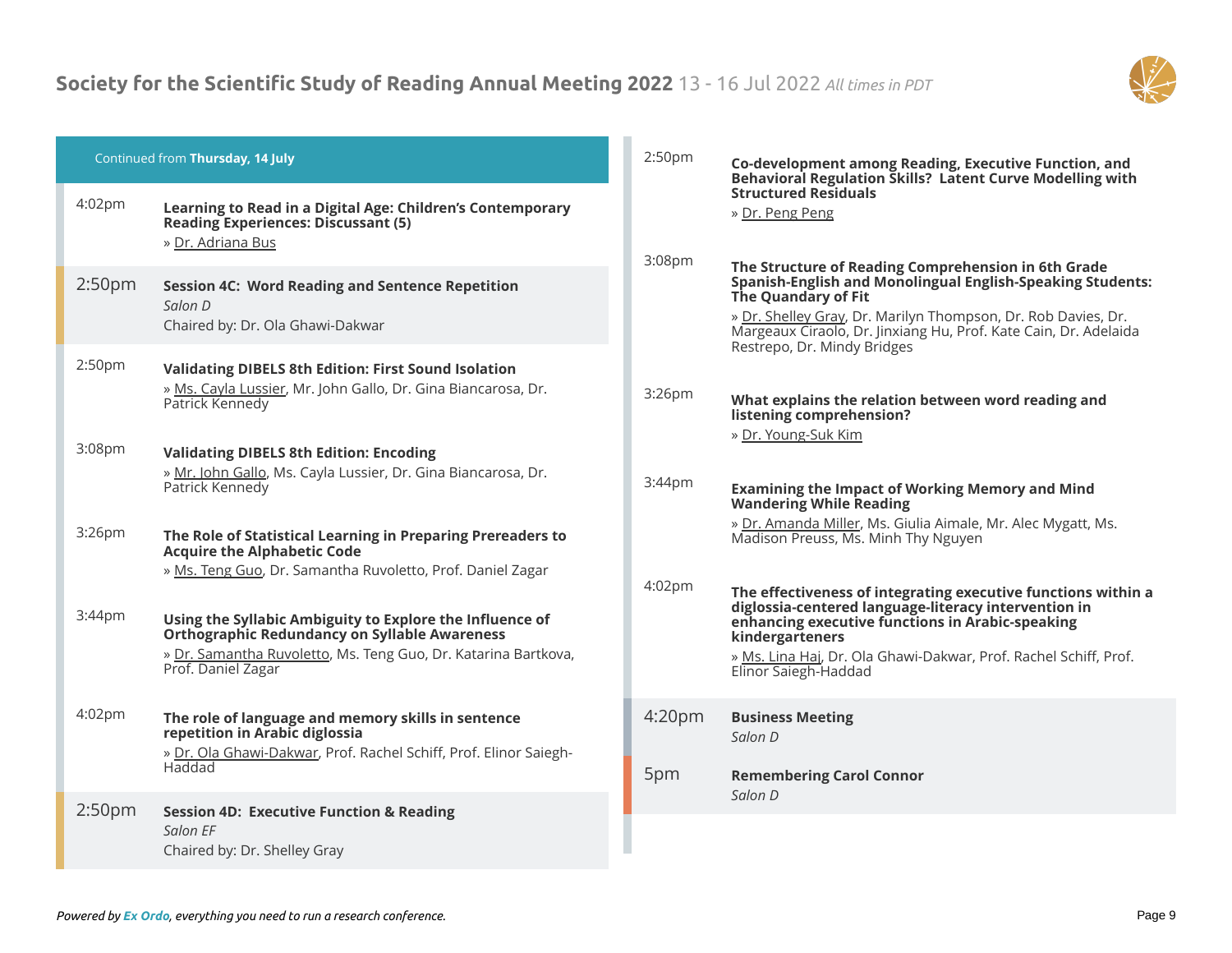

| Continued from Thursday, 14 July |                                                                                                                                                                                                          | 2:50pm                    | Co-development among Reading, Executive Function, and<br>Behavioral Regulation Skills? Latent Curve Modelling with                                                                                                                                                                                                  |
|----------------------------------|----------------------------------------------------------------------------------------------------------------------------------------------------------------------------------------------------------|---------------------------|---------------------------------------------------------------------------------------------------------------------------------------------------------------------------------------------------------------------------------------------------------------------------------------------------------------------|
| 4:02 <sub>pm</sub>               | Learning to Read in a Digital Age: Children's Contemporary<br><b>Reading Experiences: Discussant (5)</b><br>» Dr. Adriana Bus                                                                            | 3:08pm                    | <b>Structured Residuals</b><br>» Dr. Peng Peng                                                                                                                                                                                                                                                                      |
| 2:50 <sub>pm</sub>               | <b>Session 4C: Word Reading and Sentence Repetition</b><br>Salon D<br>Chaired by: Dr. Ola Ghawi-Dakwar                                                                                                   |                           | The Structure of Reading Comprehension in 6th Grade<br><b>Spanish-English and Monolingual English-Speaking Students:</b><br>The Quandary of Fit<br>» Dr. Shelley Gray, Dr. Marilyn Thompson, Dr. Rob Davies, Dr.<br>Margeaux Ciraolo, Dr. Jinxiang Hu, Prof. Kate Cain, Dr. Adelaida<br>Restrepo, Dr. Mindy Bridges |
| 2:50 <sub>pm</sub>               | <b>Validating DIBELS 8th Edition: First Sound Isolation</b><br>» Ms. Cayla Lussier, Mr. John Gallo, Dr. Gina Biancarosa, Dr.<br>Patrick Kennedy                                                          | 3:26 <sub>pm</sub>        | What explains the relation between word reading and<br>listening comprehension?<br>» Dr. Young-Suk Kim                                                                                                                                                                                                              |
| 3:08 <sub>pm</sub>               | <b>Validating DIBELS 8th Edition: Encoding</b><br>» Mr. John Gallo, Ms. Cayla Lussier, Dr. Gina Biancarosa, Dr.<br>Patrick Kennedy                                                                       | 3:44pm                    | <b>Examining the Impact of Working Memory and Mind</b><br><b>Wandering While Reading</b>                                                                                                                                                                                                                            |
| 3:26pm                           | The Role of Statistical Learning in Preparing Prereaders to<br><b>Acquire the Alphabetic Code</b><br>» Ms. Teng Guo, Dr. Samantha Ruvoletto, Prof. Daniel Zagar                                          |                           | » Dr. Amanda Miller, Ms. Giulia Aimale, Mr. Alec Mygatt, Ms.<br>Madison Preuss, Ms. Minh Thy Nguyen                                                                                                                                                                                                                 |
| 3:44 <sub>pm</sub>               | Using the Syllabic Ambiguity to Explore the Influence of<br><b>Orthographic Redundancy on Syllable Awareness</b><br>» Dr. Samantha Ruvoletto, Ms. Teng Guo, Dr. Katarina Bartkova,<br>Prof. Daniel Zagar | 4:02pm                    | The effectiveness of integrating executive functions within a<br>diglossia-centered language-literacy intervention in<br>enhancing executive functions in Arabic-speaking<br>kindergarteners<br>» Ms. Lina Haj, Dr. Ola Ghawi-Dakwar, Prof. Rachel Schiff, Prof.<br>Elinor Saiegh-Haddad                            |
| 4:02pm                           | The role of language and memory skills in sentence<br>repetition in Arabic diglossia<br>» Dr. Ola Ghawi-Dakwar, Prof. Rachel Schiff, Prof. Elinor Saiegh-<br>Haddad                                      | 4:20 <sub>pm</sub><br>5pm | <b>Business Meeting</b><br>Salon D<br><b>Remembering Carol Connor</b>                                                                                                                                                                                                                                               |
| 2:50 <sub>pm</sub>               | <b>Session 4D: Executive Function &amp; Reading</b><br>Salon FF<br>Chaired by: Dr. Shelley Gray                                                                                                          |                           | Salon D                                                                                                                                                                                                                                                                                                             |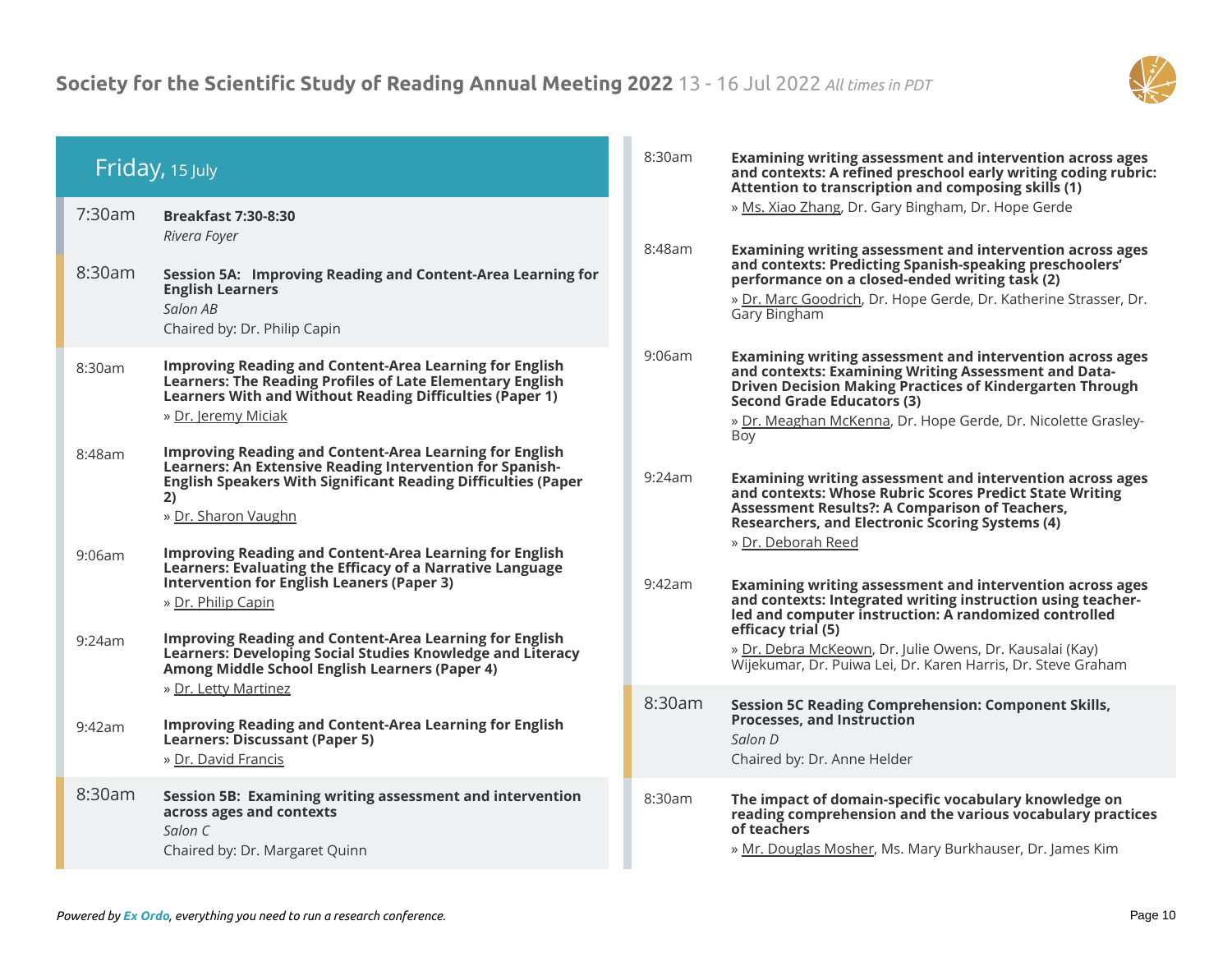

|                  | Friday, 15 July                                                                                                                                                                                                                                                                                                                                                                                                                   | 8:30am           | Examining writing assessment and intervention across ages<br>and contexts: A refined preschool early writing coding rubric:<br>Attention to transcription and composing skills (1)                                                                                                                                                                                                                                                                                           |
|------------------|-----------------------------------------------------------------------------------------------------------------------------------------------------------------------------------------------------------------------------------------------------------------------------------------------------------------------------------------------------------------------------------------------------------------------------------|------------------|------------------------------------------------------------------------------------------------------------------------------------------------------------------------------------------------------------------------------------------------------------------------------------------------------------------------------------------------------------------------------------------------------------------------------------------------------------------------------|
| 7:30am<br>8:30am | <b>Breakfast 7:30-8:30</b><br>Rivera Foyer<br>Session 5A: Improving Reading and Content-Area Learning for<br><b>English Learners</b><br>Salon AB<br>Chaired by: Dr. Philip Capin                                                                                                                                                                                                                                                  | 8:48am           | » Ms. Xiao Zhang, Dr. Gary Bingham, Dr. Hope Gerde<br>Examining writing assessment and intervention across ages<br>and contexts: Predicting Spanish-speaking preschoolers'<br>performance on a closed-ended writing task (2)<br>» Dr. Marc Goodrich, Dr. Hope Gerde, Dr. Katherine Strasser, Dr.<br>Gary Bingham                                                                                                                                                             |
| 8:30am<br>8:48am | <b>Improving Reading and Content-Area Learning for English</b><br><b>Learners: The Reading Profiles of Late Elementary English</b><br>Learners With and Without Reading Difficulties (Paper 1)<br>» Dr. Jeremy Miciak<br><b>Improving Reading and Content-Area Learning for English</b><br>Learners: An Extensive Reading Intervention for Spanish-<br><b>English Speakers With Significant Reading Difficulties (Paper</b><br>2) | 9:06am<br>9:24am | Examining writing assessment and intervention across ages<br>and contexts: Examining Writing Assessment and Data-<br><b>Driven Decision Making Practices of Kindergarten Through</b><br><b>Second Grade Educators (3)</b><br>» Dr. Meaghan McKenna, Dr. Hope Gerde, Dr. Nicolette Grasley-<br>Boy<br>Examining writing assessment and intervention across ages<br>and contexts: Whose Rubric Scores Predict State Writing                                                    |
| 9:06am<br>9:24am | » Dr. Sharon Vaughn<br><b>Improving Reading and Content-Area Learning for English</b><br>Learners: Evaluating the Efficacy of a Narrative Language<br><b>Intervention for English Leaners (Paper 3)</b><br>» Dr. Philip Capin<br><b>Improving Reading and Content-Area Learning for English</b><br>Learners: Developing Social Studies Knowledge and Literacy<br>Among Middle School English Learners (Paper 4)                   | 9:42am           | <b>Assessment Results?: A Comparison of Teachers,</b><br><b>Researchers, and Electronic Scoring Systems (4)</b><br>» Dr. Deborah Reed<br>Examining writing assessment and intervention across ages<br>and contexts: Integrated writing instruction using teacher-<br>led and computer instruction: A randomized controlled<br>efficacy trial (5)<br>» Dr. Debra McKeown, Dr. Julie Owens, Dr. Kausalai (Kay)<br>Wijekumar, Dr. Puiwa Lei, Dr. Karen Harris, Dr. Steve Graham |
| 9:42am           | » Dr. Letty Martinez<br><b>Improving Reading and Content-Area Learning for English</b><br>Learners: Discussant (Paper 5)<br>» Dr. David Francis                                                                                                                                                                                                                                                                                   | 8:30am           | <b>Session 5C Reading Comprehension: Component Skills,</b><br><b>Processes, and Instruction</b><br>Salon D<br>Chaired by: Dr. Anne Helder                                                                                                                                                                                                                                                                                                                                    |
| 8:30am           | Session 5B: Examining writing assessment and intervention<br>across ages and contexts<br>Salon C<br>Chaired by: Dr. Margaret Quinn                                                                                                                                                                                                                                                                                                | 8:30am           | The impact of domain-specific vocabulary knowledge on<br>reading comprehension and the various vocabulary practices<br>of teachers<br>» Mr. Douglas Mosher, Ms. Mary Burkhauser, Dr. James Kim                                                                                                                                                                                                                                                                               |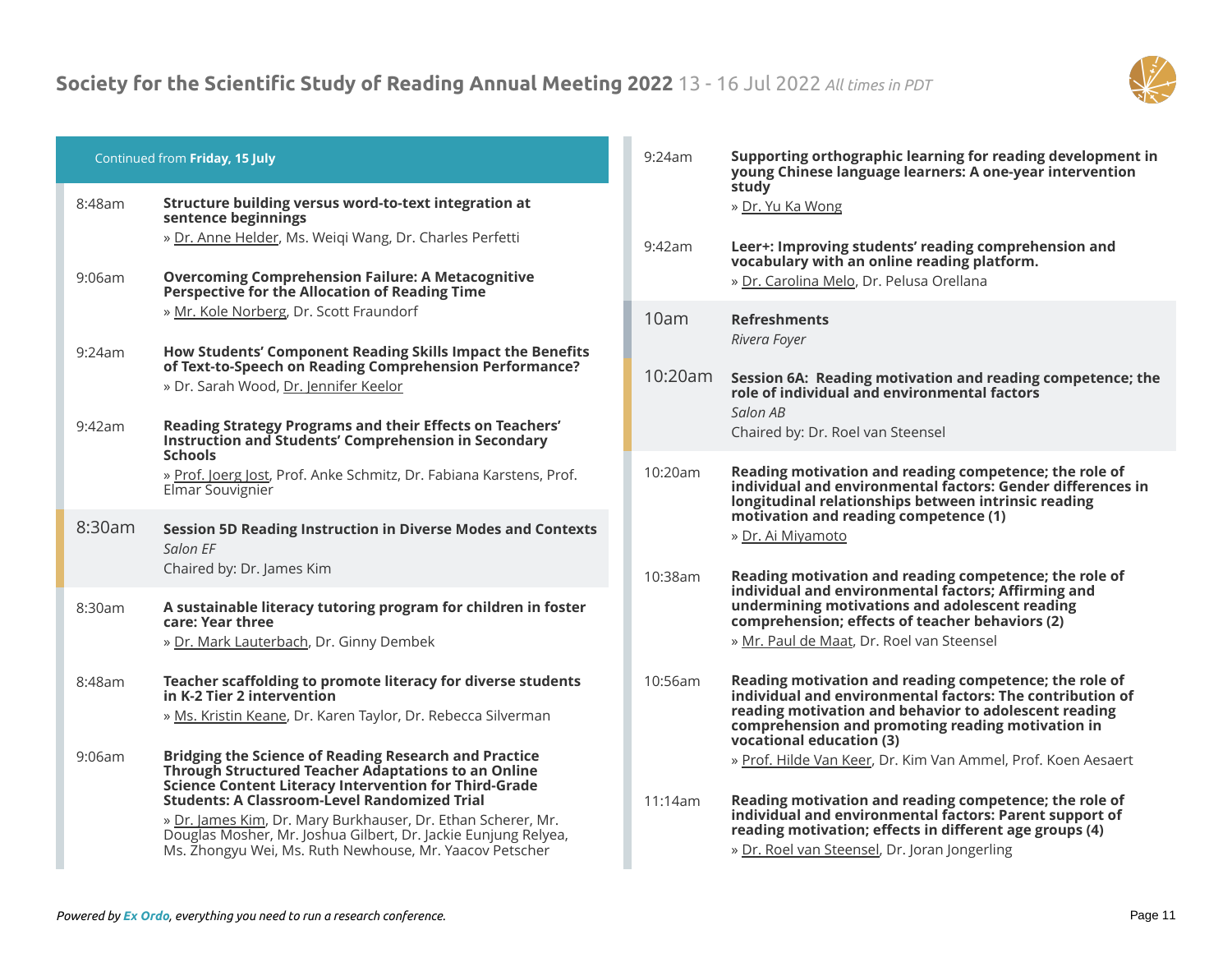

|                  | Continued from Friday, 15 July                                                                                                                                                                                                                                                                                                                                          | 9:24am          | Supporting orthographic learning for reading development in<br>young Chinese language learners: A one-year intervention                                                                                                                                                                                                        |
|------------------|-------------------------------------------------------------------------------------------------------------------------------------------------------------------------------------------------------------------------------------------------------------------------------------------------------------------------------------------------------------------------|-----------------|--------------------------------------------------------------------------------------------------------------------------------------------------------------------------------------------------------------------------------------------------------------------------------------------------------------------------------|
| 8:48am<br>9:06am | Structure building versus word-to-text integration at<br>sentence beginnings<br>» Dr. Anne Helder, Ms. Weigi Wang, Dr. Charles Perfetti<br><b>Overcoming Comprehension Failure: A Metacognitive</b>                                                                                                                                                                     | 9:42am          | study<br>» Dr. Yu Ka Wong<br>Leer+: Improving students' reading comprehension and<br>vocabulary with an online reading platform.<br>» Dr. Carolina Melo, Dr. Pelusa Orellana                                                                                                                                                   |
| 9:24am<br>9:42am | Perspective for the Allocation of Reading Time<br>» Mr. Kole Norberg, Dr. Scott Fraundorf<br>How Students' Component Reading Skills Impact the Benefits<br>of Text-to-Speech on Reading Comprehension Performance?<br>» Dr. Sarah Wood, Dr. Jennifer Keelor<br>Reading Strategy Programs and their Effects on Teachers'                                                 | 10am<br>10:20am | <b>Refreshments</b><br>Rivera Foyer<br>Session 6A: Reading motivation and reading competence; the<br>role of individual and environmental factors<br>Salon AB                                                                                                                                                                  |
| 8:30am           | <b>Instruction and Students' Comprehension in Secondary</b><br><b>Schools</b><br>» Prof. Joerg Jost, Prof. Anke Schmitz, Dr. Fabiana Karstens, Prof.<br>Elmar Souvignier<br><b>Session 5D Reading Instruction in Diverse Modes and Contexts</b><br>Salon EF                                                                                                             | 10:20am         | Chaired by: Dr. Roel van Steensel<br>Reading motivation and reading competence; the role of<br>individual and environmental factors: Gender differences in<br>longitudinal relationships between intrinsic reading<br>motivation and reading competence (1)<br>» Dr. Ai Miyamoto                                               |
| 8:30am           | Chaired by: Dr. James Kim<br>A sustainable literacy tutoring program for children in foster<br>care: Year three<br>» Dr. Mark Lauterbach, Dr. Ginny Dembek                                                                                                                                                                                                              | 10:38am         | Reading motivation and reading competence; the role of<br>individual and environmental factors; Affirming and<br>undermining motivations and adolescent reading<br>comprehension; effects of teacher behaviors (2)<br>» Mr. Paul de Maat, Dr. Roel van Steensel                                                                |
| 8:48am<br>9:06am | Teacher scaffolding to promote literacy for diverse students<br>in K-2 Tier 2 intervention<br>» Ms. Kristin Keane, Dr. Karen Taylor, Dr. Rebecca Silverman<br>Bridging the Science of Reading Research and Practice                                                                                                                                                     | 10:56am         | Reading motivation and reading competence; the role of<br>individual and environmental factors: The contribution of<br>reading motivation and behavior to adolescent reading<br>comprehension and promoting reading motivation in<br>vocational education (3)<br>» Prof. Hilde Van Keer, Dr. Kim Van Ammel, Prof. Koen Aesaert |
|                  | Through Structured Teacher Adaptations to an Online<br><b>Science Content Literacy Intervention for Third-Grade</b><br><b>Students: A Classroom-Level Randomized Trial</b><br>» Dr. James Kim, Dr. Mary Burkhauser, Dr. Ethan Scherer, Mr.<br>Douglas Mosher, Mr. Joshua Gilbert, Dr. Jackie Eunjung Relyea,<br>Ms. Zhongyu Wei, Ms. Ruth Newhouse, Mr. Yaacov Petscher | 11:14am         | Reading motivation and reading competence; the role of<br>individual and environmental factors: Parent support of<br>reading motivation; effects in different age groups (4)<br>» Dr. Roel van Steensel, Dr. Joran Jongerling                                                                                                  |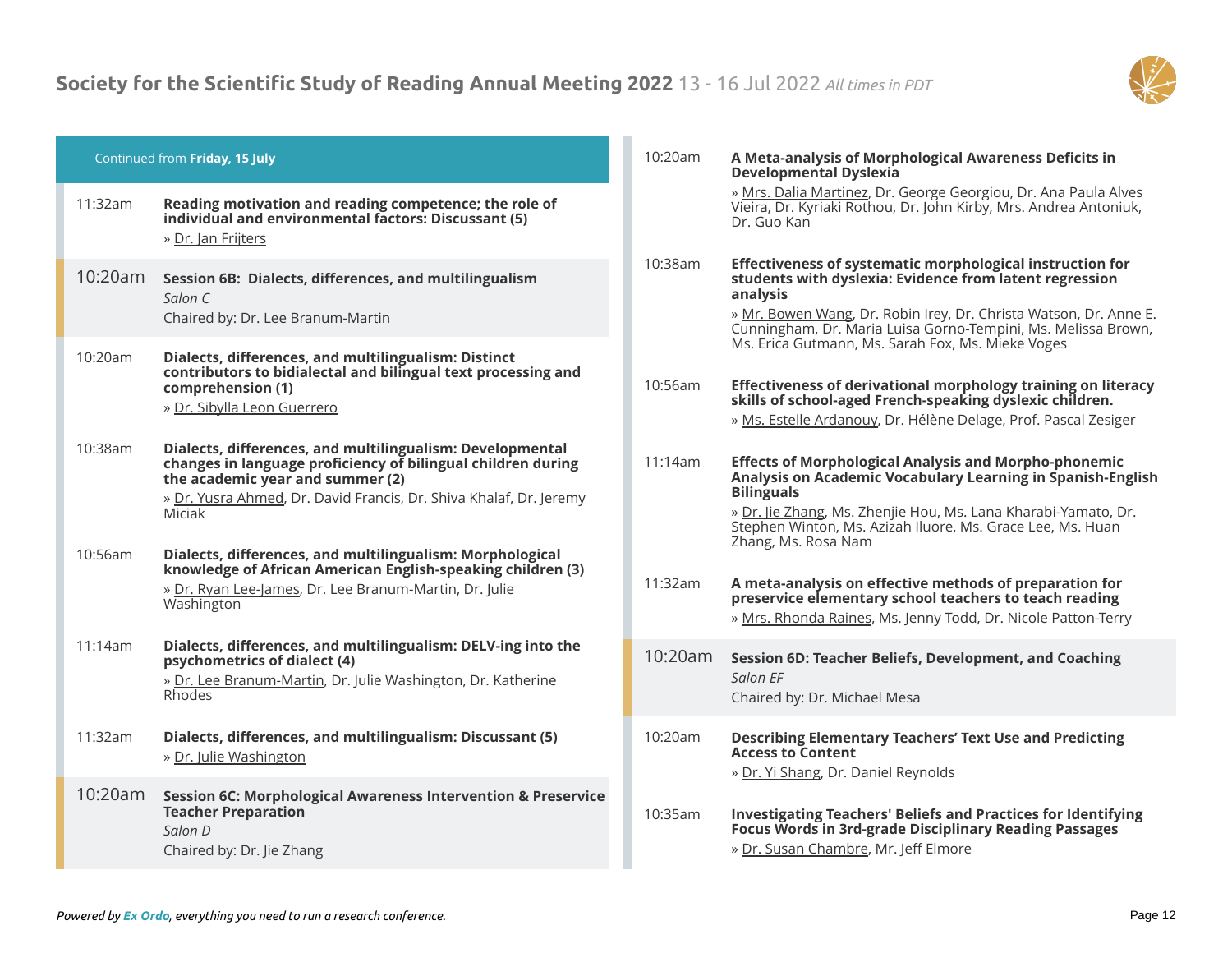

| Continued from Friday, 15 July |                                                                                                                                                                                                                                               | 10:20am | A Meta-analysis of Morphological Awareness Deficits in<br>Developmental Dyslexia                                                                                                                                                                                                                        |
|--------------------------------|-----------------------------------------------------------------------------------------------------------------------------------------------------------------------------------------------------------------------------------------------|---------|---------------------------------------------------------------------------------------------------------------------------------------------------------------------------------------------------------------------------------------------------------------------------------------------------------|
| 11:32am                        | Reading motivation and reading competence; the role of<br>individual and environmental factors: Discussant (5)<br>» Dr. Jan Frijters                                                                                                          |         | » Mrs. Dalia Martinez, Dr. George Georgiou, Dr. Ana Paula Alves<br>Vieira, Dr. Kyriaki Rothou, Dr. John Kirby, Mrs. Andrea Antoniuk,<br>Dr. Guo Kan                                                                                                                                                     |
| 10:20am                        | Session 6B: Dialects, differences, and multilingualism<br>Salon C<br>Chaired by: Dr. Lee Branum-Martin                                                                                                                                        | 10:38am | Effectiveness of systematic morphological instruction for<br>students with dyslexia: Evidence from latent regression<br>analysis<br>» Mr. Bowen Wang, Dr. Robin Irey, Dr. Christa Watson, Dr. Anne E.<br>Cunningham, Dr. Maria Luisa Gorno-Tempini, Ms. Melissa Brown,                                  |
| 10:20am                        | Dialects, differences, and multilingualism: Distinct<br>contributors to bidialectal and bilingual text processing and<br>comprehension (1)<br>» Dr. Sibylla Leon Guerrero                                                                     | 10:56am | Ms. Erica Gutmann, Ms. Sarah Fox, Ms. Mieke Voges<br>Effectiveness of derivational morphology training on literacy<br>skills of school-aged French-speaking dyslexic children.<br>» Ms. Estelle Ardanouy, Dr. Hélène Delage, Prof. Pascal Zesiger                                                       |
| 10:38am                        | Dialects, differences, and multilingualism: Developmental<br>changes in language proficiency of bilingual children during<br>the academic year and summer (2)<br>» Dr. Yusra Ahmed, Dr. David Francis, Dr. Shiva Khalaf, Dr. Jeremy<br>Miciak | 11:14am | <b>Effects of Morphological Analysis and Morpho-phonemic</b><br>Analysis on Academic Vocabulary Learning in Spanish-English<br><b>Bilinguals</b><br>» Dr. Jie Zhang, Ms. Zhenjie Hou, Ms. Lana Kharabi-Yamato, Dr.<br>Stephen Winton, Ms. Azizah Iluore, Ms. Grace Lee, Ms. Huan<br>Zhang, Ms. Rosa Nam |
| 10:56am                        | Dialects, differences, and multilingualism: Morphological<br>knowledge of African American English-speaking children (3)<br>» Dr. Ryan Lee-James, Dr. Lee Branum-Martin, Dr. Julie<br>Washington                                              | 11:32am | A meta-analysis on effective methods of preparation for<br>preservice elementary school teachers to teach reading<br>» Mrs. Rhonda Raines, Ms. Jenny Todd, Dr. Nicole Patton-Terry                                                                                                                      |
| 11:14am                        | Dialects, differences, and multilingualism: DELV-ing into the<br>psychometrics of dialect (4)<br>» Dr. Lee Branum-Martin, Dr. Julie Washington, Dr. Katherine<br>Rhodes                                                                       | 10:20am | Session 6D: Teacher Beliefs, Development, and Coaching<br>Salon EF<br>Chaired by: Dr. Michael Mesa                                                                                                                                                                                                      |
| 11:32am                        | Dialects, differences, and multilingualism: Discussant (5)<br>» Dr. Julie Washington                                                                                                                                                          | 10:20am | <b>Describing Elementary Teachers' Text Use and Predicting</b><br><b>Access to Content</b><br>» Dr. Yi Shang, Dr. Daniel Reynolds                                                                                                                                                                       |
| 10:20am                        | <b>Session 6C: Morphological Awareness Intervention &amp; Preservice</b><br><b>Teacher Preparation</b><br>Salon D<br>Chaired by: Dr. Jie Zhang                                                                                                | 10:35am | <b>Investigating Teachers' Beliefs and Practices for Identifying</b><br><b>Focus Words in 3rd-grade Disciplinary Reading Passages</b><br>» Dr. Susan Chambre, Mr. Jeff Elmore                                                                                                                           |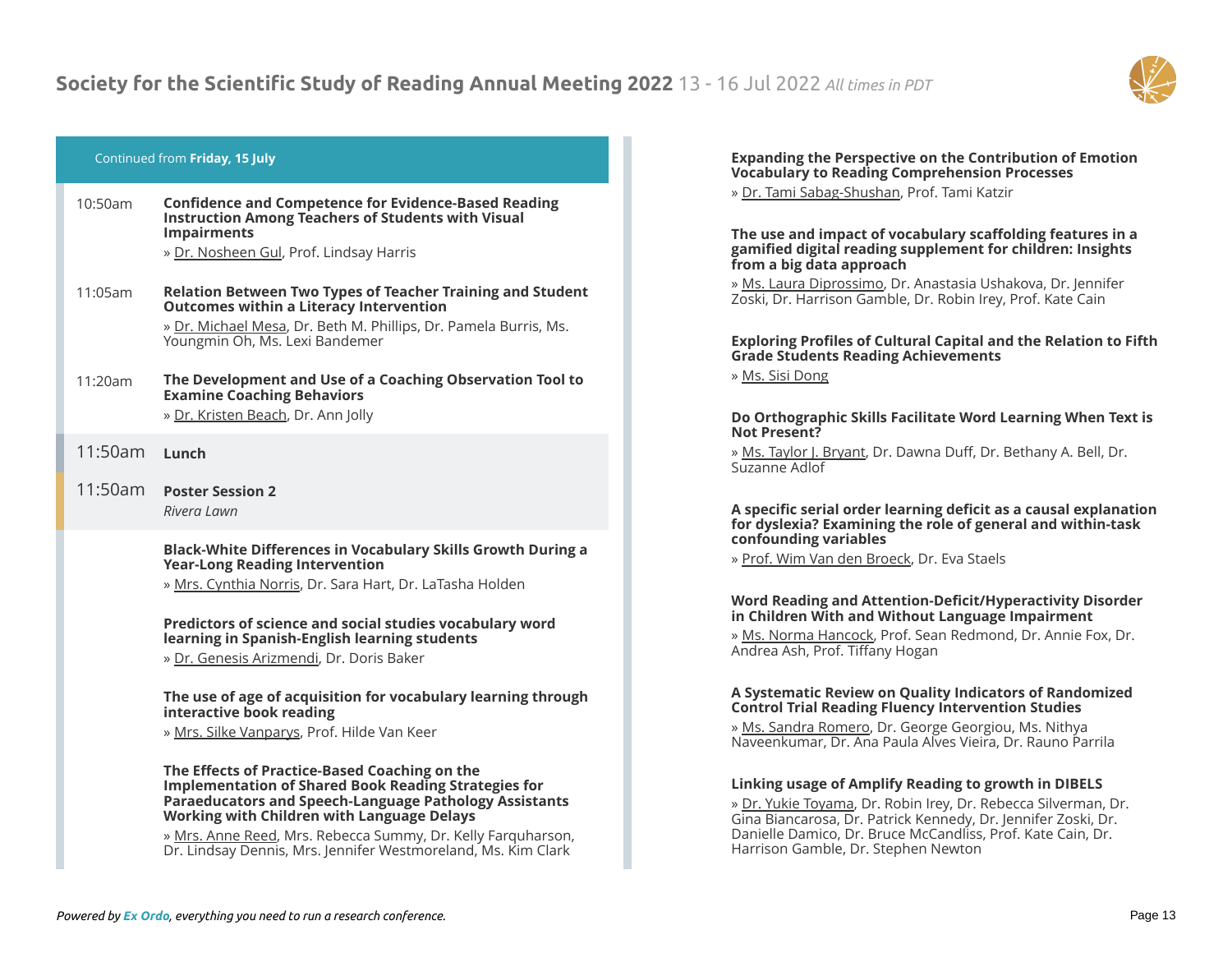

# Continued from **Friday, 15 July**

| 10:50am | <b>Confidence and Competence for Evidence-Based Reading</b><br><b>Instruction Among Teachers of Students with Visual</b><br><b>Impairments</b><br>» Dr. Nosheen Gul, Prof. Lindsay Harris                                   |
|---------|-----------------------------------------------------------------------------------------------------------------------------------------------------------------------------------------------------------------------------|
| 11:05am | <b>Relation Between Two Types of Teacher Training and Student</b><br><b>Outcomes within a Literacy Intervention</b><br>» Dr. Michael Mesa, Dr. Beth M. Phillips, Dr. Pamela Burris, Ms.<br>Youngmin Oh, Ms. Lexi Bandemer   |
| 11:20am | The Development and Use of a Coaching Observation Tool to<br><b>Examine Coaching Behaviors</b><br>» Dr. Kristen Beach, Dr. Ann Jolly                                                                                        |
| 11:50am | Lunch                                                                                                                                                                                                                       |
| 11:50am | <b>Poster Session 2</b><br>Rivera Lawn                                                                                                                                                                                      |
|         | Black-White Differences in Vocabulary Skills Growth During a<br><b>Year-Long Reading Intervention</b><br>» Mrs. Cynthia Norris, Dr. Sara Hart, Dr. LaTasha Holden                                                           |
|         | Predictors of science and social studies vocabulary word<br>learning in Spanish-English learning students<br>» Dr. Genesis Arizmendi, Dr. Doris Baker                                                                       |
|         | The use of age of acquisition for vocabulary learning through<br>interactive book reading<br>» Mrs. Silke Vanparys, Prof. Hilde Van Keer                                                                                    |
|         | The Effects of Practice-Based Coaching on the<br><b>Implementation of Shared Book Reading Strategies for</b><br>Paraeducators and Speech-Language Pathology Assistants<br><b>Working with Children with Language Delays</b> |
|         | » Mrs. Anne Reed, Mrs. Rebecca Summy, Dr. Kelly Farquharson,                                                                                                                                                                |

# **Expanding the Perspective on the Contribution of Emotion Vocabulary to Reading Comprehension Processes**

» Dr. Tami Sabag-Shushan, Prof. Tami Katzir

# **The use and impact of vocabulary scaffolding features in a gamified digital reading supplement for children: Insights from a big data approach**

» Ms. Laura Diprossimo, Dr. Anastasia Ushakova, Dr. Jennifer Zoski, Dr. Harrison Gamble, Dr. Robin Irey, Prof. Kate Cain

# **Exploring Profiles of Cultural Capital and the Relation to Fifth Grade Students Reading Achievements**

» Ms. Sisi Dong

# **Do Orthographic Skills Facilitate Word Learning When Text is Not Present?**

» Ms. Taylor J. Bryant, Dr. Dawna Duff, Dr. Bethany A. Bell, Dr. Suzanne Adlof

# **A specific serial order learning deficit as a causal explanation for dyslexia? Examining the role of general and within-task confounding variables**

» Prof. Wim Van den Broeck, Dr. Eva Staels

# **Word Reading and Attention-Deficit/Hyperactivity Disorder in Children With and Without Language Impairment**

» Ms. Norma Hancock, Prof. Sean Redmond, Dr. Annie Fox, Dr. Andrea Ash, Prof. Tiffany Hogan

# **A Systematic Review on Quality Indicators of Randomized Control Trial Reading Fluency Intervention Studies**

» Ms. Sandra Romero, Dr. George Georgiou, Ms. Nithya Naveenkumar, Dr. Ana Paula Alves Vieira, Dr. Rauno Parrila

# **Linking usage of Amplify Reading to growth in DIBELS**

» Dr. Yukie Toyama, Dr. Robin Irey, Dr. Rebecca Silverman, Dr. Gina Biancarosa, Dr. Patrick Kennedy, Dr. Jennifer Zoski, Dr. Danielle Damico, Dr. Bruce McCandliss, Prof. Kate Cain, Dr. Harrison Gamble, Dr. Stephen Newton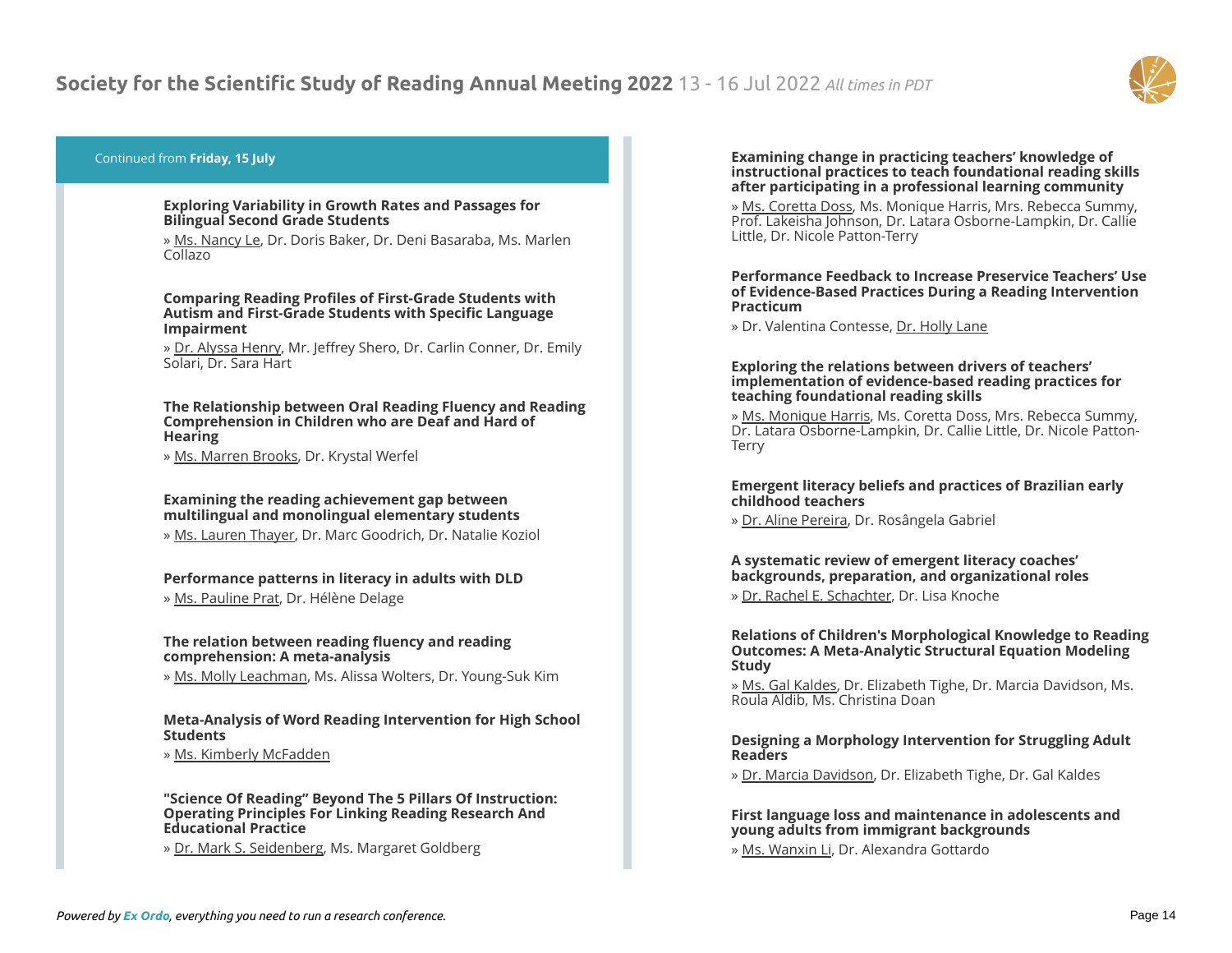

# Continued from **Friday, 15 July**

#### **Exploring Variability in Growth Rates and Passages for Bilingual Second Grade Students**

» Ms. Nancy Le, Dr. Doris Baker, Dr. Deni Basaraba, Ms. Marlen Collazo

**Comparing Reading Profiles of First-Grade Students with Autism and First-Grade Students with Specific Language Impairment**

» Dr. Alyssa Henry, Mr. Jeffrey Shero, Dr. Carlin Conner, Dr. Emily Solari, Dr. Sara Hart

#### **The Relationship between Oral Reading Fluency and Reading Comprehension in Children who are Deaf and Hard of Hearing**

» Ms. Marren Brooks, Dr. Krystal Werfel

# **Examining the reading achievement gap between multilingual and monolingual elementary students**

» Ms. Lauren Thayer, Dr. Marc Goodrich, Dr. Natalie Koziol

# **Performance patterns in literacy in adults with DLD**

» Ms. Pauline Prat, Dr. Hélène Delage

# **The relation between reading fluency and reading comprehension: A meta-analysis**

» Ms. Molly Leachman, Ms. Alissa Wolters, Dr. Young-Suk Kim

# **Meta-Analysis of Word Reading Intervention for High School Students**

» Ms. Kimberly McFadden

#### **"Science Of Reading" Beyond The 5 Pillars Of Instruction: Operating Principles For Linking Reading Research And Educational Practice**

» Dr. Mark S. Seidenberg, Ms. Margaret Goldberg

#### **Examining change in practicing teachers' knowledge of instructional practices to teach foundational reading skills after participating in a professional learning community**

» Ms. Coretta Doss, Ms. Monique Harris, Mrs. Rebecca Summy, Prof. Lakeisha Johnson, Dr. Latara Osborne-Lampkin, Dr. Callie Little, Dr. Nicole Patton-Terry

# **Performance Feedback to Increase Preservice Teachers' Use of Evidence-Based Practices During a Reading Intervention Practicum**

» Dr. Valentina Contesse, Dr. Holly Lane

# **Exploring the relations between drivers of teachers' implementation of evidence-based reading practices for teaching foundational reading skills**

» Ms. Monique Harris, Ms. Coretta Doss, Mrs. Rebecca Summy, Dr. Latara Osborne-Lampkin, Dr. Callie Little, Dr. Nicole Patton-Terry

# **Emergent literacy beliefs and practices of Brazilian early childhood teachers**

» Dr. Aline Pereira, Dr. Rosângela Gabriel

# **A systematic review of emergent literacy coaches' backgrounds, preparation, and organizational roles**

» Dr. Rachel E. Schachter, Dr. Lisa Knoche

# **Relations of Children's Morphological Knowledge to Reading Outcomes: A Meta-Analytic Structural Equation Modeling Study**

» Ms. Gal Kaldes, Dr. Elizabeth Tighe, Dr. Marcia Davidson, Ms. Roula Aldib, Ms. Christina Doan

# **Designing a Morphology Intervention for Struggling Adult Readers**

» Dr. Marcia Davidson, Dr. Elizabeth Tighe, Dr. Gal Kaldes

# **First language loss and maintenance in adolescents and young adults from immigrant backgrounds**

» Ms. Wanxin Li, Dr. Alexandra Gottardo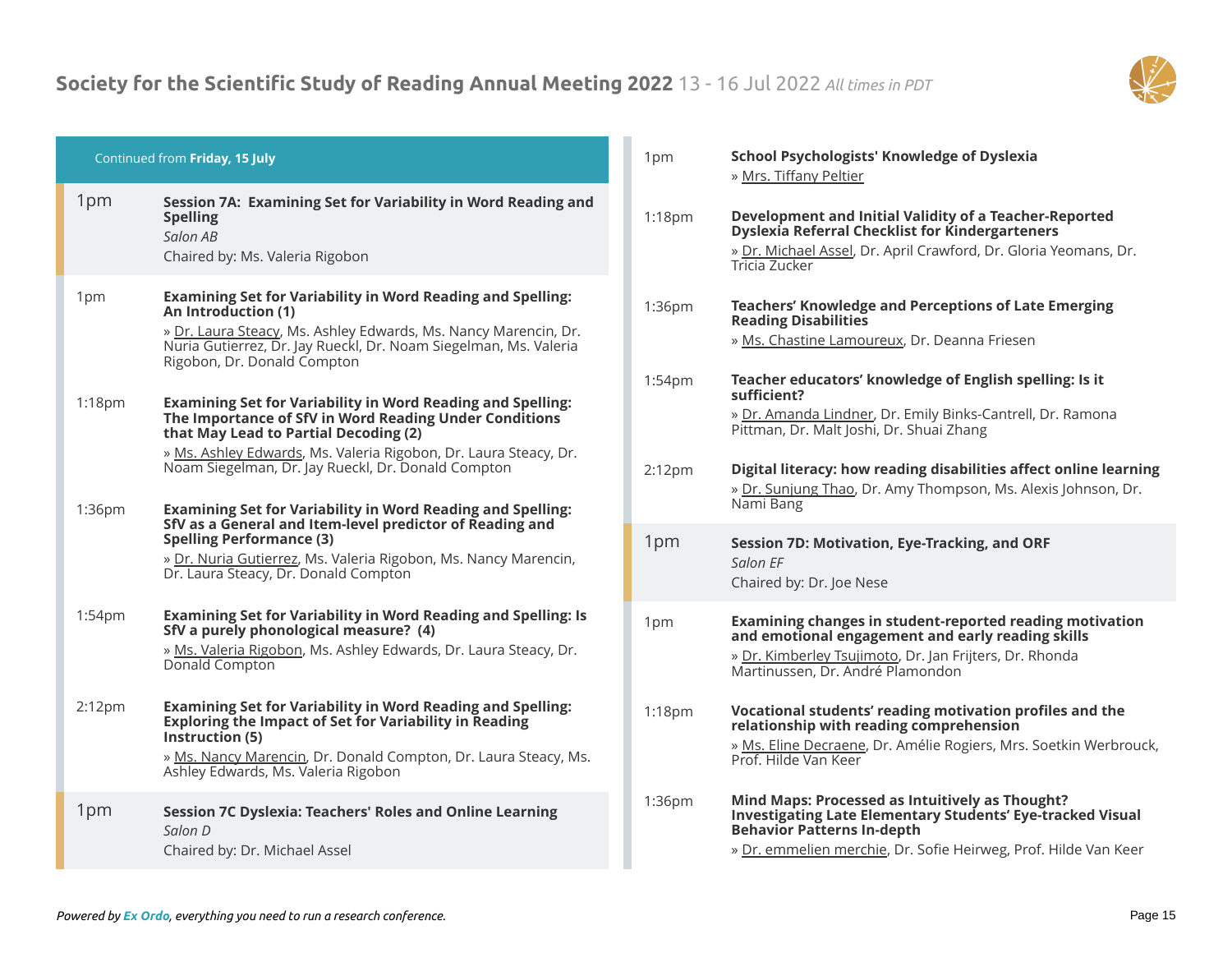

| Continued from Friday, 15 July |                                                                                                                                                                                                                                                                 | 1pm                | <b>School Psychologists' Knowledge of Dyslexia</b><br>» Mrs. Tiffany Peltier                                                                                                                                                 |
|--------------------------------|-----------------------------------------------------------------------------------------------------------------------------------------------------------------------------------------------------------------------------------------------------------------|--------------------|------------------------------------------------------------------------------------------------------------------------------------------------------------------------------------------------------------------------------|
| 1pm                            | Session 7A: Examining Set for Variability in Word Reading and<br><b>Spelling</b><br>Salon AB<br>Chaired by: Ms. Valeria Rigobon                                                                                                                                 | $1:18$ pm          | Development and Initial Validity of a Teacher-Reported<br>Dyslexia Referral Checklist for Kindergarteners<br>» Dr. Michael Assel, Dr. April Crawford, Dr. Gloria Yeomans, Dr.<br>Tricia Zucker                               |
| 1pm                            | <b>Examining Set for Variability in Word Reading and Spelling:</b><br>An Introduction (1)<br>» Dr. Laura Steacy, Ms. Ashley Edwards, Ms. Nancy Marencin, Dr.<br>Nuria Gutierrez, Dr. Jay Rueckl, Dr. Noam Siegelman, Ms. Valeria<br>Rigobon, Dr. Donald Compton | 1:36pm             | <b>Teachers' Knowledge and Perceptions of Late Emerging</b><br><b>Reading Disabilities</b><br>» Ms. Chastine Lamoureux, Dr. Deanna Friesen                                                                                   |
| 1:18pm                         | <b>Examining Set for Variability in Word Reading and Spelling:</b><br>The Importance of SfV in Word Reading Under Conditions<br>that May Lead to Partial Decoding (2)<br>» Ms. Ashley Edwards, Ms. Valeria Rigobon, Dr. Laura Steacy, Dr.                       | 1:54pm             | Teacher educators' knowledge of English spelling: Is it<br>sufficient?<br>» Dr. Amanda Lindner, Dr. Emily Binks-Cantrell, Dr. Ramona<br>Pittman, Dr. Malt Joshi, Dr. Shuai Zhang                                             |
| 1:36pm                         | Noam Siegelman, Dr. Jay Rueckl, Dr. Donald Compton<br><b>Examining Set for Variability in Word Reading and Spelling:</b>                                                                                                                                        | 2:12 <sub>pm</sub> | Digital literacy: how reading disabilities affect online learning<br>» Dr. Sunjung Thao, Dr. Amy Thompson, Ms. Alexis Johnson, Dr.<br>Nami Bang                                                                              |
|                                | SfV as a General and Item-level predictor of Reading and<br><b>Spelling Performance (3)</b><br>» Dr. Nuria Gutierrez, Ms. Valeria Rigobon, Ms. Nancy Marencin,<br>Dr. Laura Steacy, Dr. Donald Compton                                                          | 1pm                | Session 7D: Motivation, Eye-Tracking, and ORF<br>Salon FF<br>Chaired by: Dr. Joe Nese                                                                                                                                        |
| 1:54pm                         | <b>Examining Set for Variability in Word Reading and Spelling: Is</b><br>SfV a purely phonological measure? (4)<br>» Ms. Valeria Rigobon, Ms. Ashley Edwards, Dr. Laura Steacy, Dr.<br>Donald Compton                                                           | 1pm                | Examining changes in student-reported reading motivation<br>and emotional engagement and early reading skills<br>» Dr. Kimberley Tsujimoto, Dr. Jan Frijters, Dr. Rhonda<br>Martinussen, Dr. André Plamondon                 |
| 2:12 <sub>pm</sub>             | <b>Examining Set for Variability in Word Reading and Spelling:</b><br>Exploring the Impact of Set for Variability in Reading<br>Instruction (5)<br>» Ms. Nancy Marencin, Dr. Donald Compton, Dr. Laura Steacy, Ms.<br>Ashley Edwards, Ms. Valeria Rigobon       | $1:18$ pm          | Vocational students' reading motivation profiles and the<br>relationship with reading comprehension<br>» Ms. Eline Decraene, Dr. Amélie Rogiers, Mrs. Soetkin Werbrouck,<br>Prof. Hilde Van Keer                             |
| 1pm                            | <b>Session 7C Dyslexia: Teachers' Roles and Online Learning</b><br>Salon D<br>Chaired by: Dr. Michael Assel                                                                                                                                                     | 1:36pm             | Mind Maps: Processed as Intuitively as Thought?<br><b>Investigating Late Elementary Students' Eye-tracked Visual</b><br><b>Behavior Patterns In-depth</b><br>» Dr. emmelien merchie, Dr. Sofie Heirweg, Prof. Hilde Van Keer |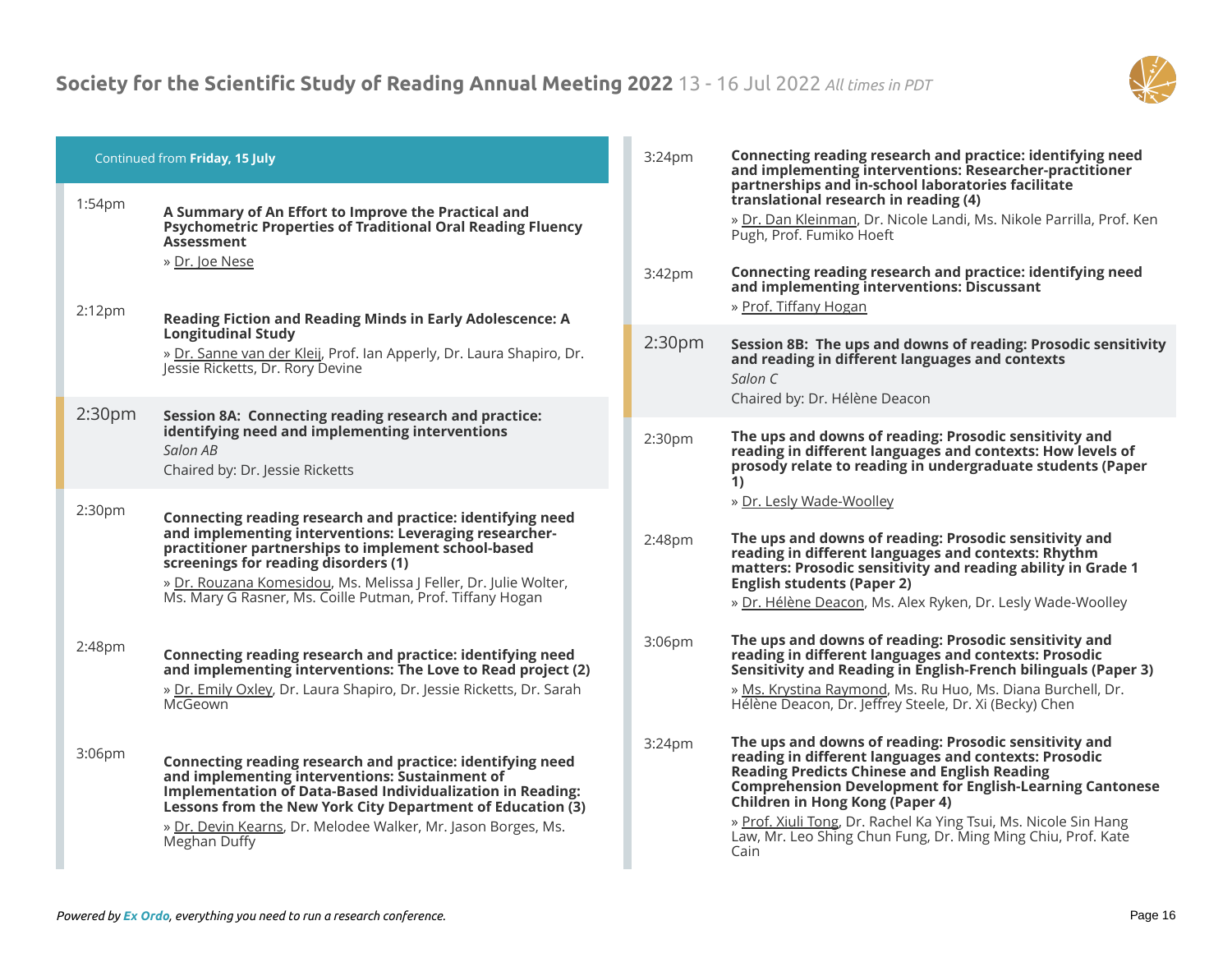

| Continued from Friday, 15 July |                                                                                                                                                                                                                                                                                                                                                      | 3:24 <sub>pm</sub> | Connecting reading research and practice: identifying need<br>and implementing interventions: Researcher-practitioner                                                                                                                                                                                                                                                                                                    |  |
|--------------------------------|------------------------------------------------------------------------------------------------------------------------------------------------------------------------------------------------------------------------------------------------------------------------------------------------------------------------------------------------------|--------------------|--------------------------------------------------------------------------------------------------------------------------------------------------------------------------------------------------------------------------------------------------------------------------------------------------------------------------------------------------------------------------------------------------------------------------|--|
| 1:54pm<br>2:12 <sub>pm</sub>   | A Summary of An Effort to Improve the Practical and<br><b>Psychometric Properties of Traditional Oral Reading Fluency</b><br><b>Assessment</b><br>» Dr. Joe Nese                                                                                                                                                                                     | 3:42pm             | partnerships and in-school laboratories facilitate<br>translational research in reading (4)<br>» Dr. Dan Kleinman, Dr. Nicole Landi, Ms. Nikole Parrilla, Prof. Ken<br>Pugh, Prof. Fumiko Hoeft<br>Connecting reading research and practice: identifying need<br>and implementing interventions: Discussant<br>» Prof. Tiffany Hogan                                                                                     |  |
|                                | Reading Fiction and Reading Minds in Early Adolescence: A<br><b>Longitudinal Study</b><br>» Dr. Sanne van der Kleij, Prof. Ian Apperly, Dr. Laura Shapiro, Dr.<br>Jessie Ricketts, Dr. Rory Devine                                                                                                                                                   | 2:30 <sub>pm</sub> | Session 8B: The ups and downs of reading: Prosodic sensitivity<br>and reading in different languages and contexts<br>Salon C<br>Chaired by: Dr. Hélène Deacon                                                                                                                                                                                                                                                            |  |
| 2:30 <sub>pm</sub>             | Session 8A: Connecting reading research and practice:<br>identifying need and implementing interventions<br>Salon AB<br>Chaired by: Dr. Jessie Ricketts                                                                                                                                                                                              | 2:30 <sub>pm</sub> | The ups and downs of reading: Prosodic sensitivity and<br>reading in different languages and contexts: How levels of<br>prosody relate to reading in undergraduate students (Paper<br>1)                                                                                                                                                                                                                                 |  |
| 2:30pm                         | Connecting reading research and practice: identifying need<br>and implementing interventions: Leveraging researcher-<br>practitioner partnerships to implement school-based<br>screenings for reading disorders (1)<br>» Dr. Rouzana Komesidou, Ms. Melissa J Feller, Dr. Julie Wolter,<br>Ms. Mary G Rasner, Ms. Coille Putman, Prof. Tiffany Hogan | 2:48pm             | » Dr. Lesly Wade-Woolley<br>The ups and downs of reading: Prosodic sensitivity and<br>reading in different languages and contexts: Rhythm<br>matters: Prosodic sensitivity and reading ability in Grade 1<br><b>English students (Paper 2)</b><br>» Dr. Hélène Deacon, Ms. Alex Ryken, Dr. Lesly Wade-Woolley                                                                                                            |  |
| 2:48pm                         | Connecting reading research and practice: identifying need<br>and implementing interventions: The Love to Read project (2)<br>» Dr. Emily Oxley, Dr. Laura Shapiro, Dr. Jessie Ricketts, Dr. Sarah<br>McGeown                                                                                                                                        | 3:06pm             | The ups and downs of reading: Prosodic sensitivity and<br>reading in different languages and contexts: Prosodic<br>Sensitivity and Reading in English-French bilinguals (Paper 3)<br>» Ms. Krystina Raymond, Ms. Ru Huo, Ms. Diana Burchell, Dr.<br>Hélène Deacon, Dr. Jeffrey Steele, Dr. Xi (Becky) Chen                                                                                                               |  |
| 3:06pm                         | Connecting reading research and practice: identifying need<br>and implementing interventions: Sustainment of<br><b>Implementation of Data-Based Individualization in Reading:</b><br>Lessons from the New York City Department of Education (3)<br>» Dr. Devin Kearns, Dr. Melodee Walker, Mr. Jason Borges, Ms.<br>Meghan Duffy                     | 3:24pm             | The ups and downs of reading: Prosodic sensitivity and<br>reading in different languages and contexts: Prosodic<br><b>Reading Predicts Chinese and English Reading</b><br><b>Comprehension Development for English-Learning Cantonese</b><br>Children in Hong Kong (Paper 4)<br>» Prof. Xiuli Tong, Dr. Rachel Ka Ying Tsui, Ms. Nicole Sin Hang<br>Law, Mr. Leo Shing Chun Fung, Dr. Ming Ming Chiu, Prof. Kate<br>Cain |  |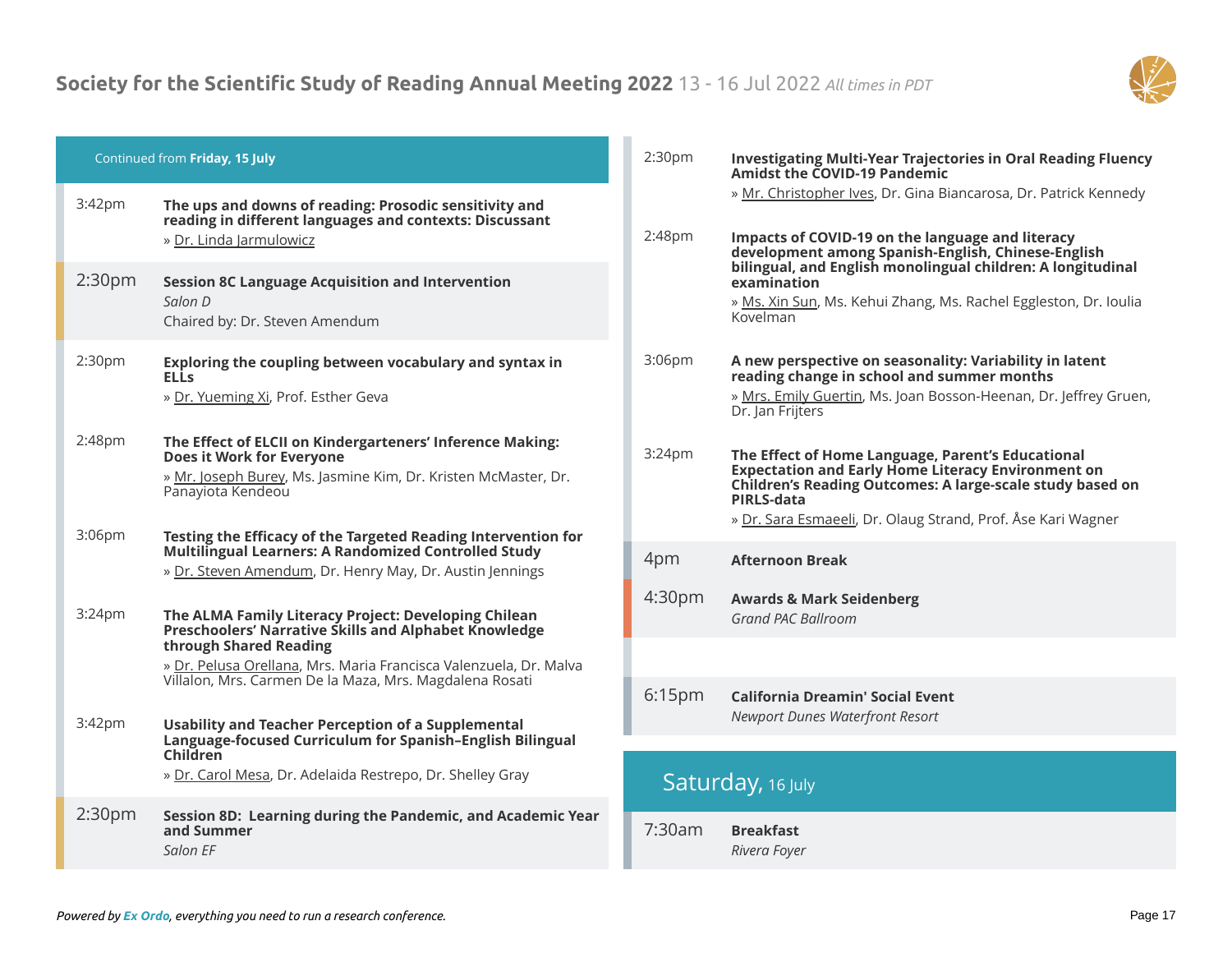

| Continued from Friday, 15 July |                                                                                                                                                                                                                                                | 2:30 <sub>pm</sub> | <b>Investigating Multi-Year Trajectories in Oral Reading Fluency</b><br><b>Amidst the COVID-19 Pandemic</b>                                                                                                                                               |
|--------------------------------|------------------------------------------------------------------------------------------------------------------------------------------------------------------------------------------------------------------------------------------------|--------------------|-----------------------------------------------------------------------------------------------------------------------------------------------------------------------------------------------------------------------------------------------------------|
| 3:42pm                         | The ups and downs of reading: Prosodic sensitivity and<br>reading in different languages and contexts: Discussant<br>» Dr. Linda Jarmulowicz                                                                                                   | 2:48pm             | » Mr. Christopher Ives, Dr. Gina Biancarosa, Dr. Patrick Kennedy<br>Impacts of COVID-19 on the language and literacy<br>development among Spanish-English, Chinese-English                                                                                |
| 2:30 <sub>pm</sub>             | <b>Session 8C Language Acquisition and Intervention</b><br>Salon D<br>Chaired by: Dr. Steven Amendum                                                                                                                                           |                    | bilingual, and English monolingual children: A longitudinal<br>examination<br>» Ms. Xin Sun, Ms. Kehui Zhang, Ms. Rachel Eggleston, Dr. Ioulia<br>Kovelman                                                                                                |
| 2:30pm                         | Exploring the coupling between vocabulary and syntax in<br><b>ELLS</b><br>» Dr. Yueming Xi, Prof. Esther Geva                                                                                                                                  | 3:06pm             | A new perspective on seasonality: Variability in latent<br>reading change in school and summer months<br>» Mrs. Emily Guertin, Ms. Joan Bosson-Heenan, Dr. Jeffrey Gruen,<br>Dr. Jan Frijters                                                             |
| 2:48pm<br>3:06pm               | The Effect of ELCII on Kindergarteners' Inference Making:<br>Does it Work for Everyone<br>» Mr. Joseph Burey, Ms. Jasmine Kim, Dr. Kristen McMaster, Dr.<br>Panayiota Kendeou<br>Testing the Efficacy of the Targeted Reading Intervention for | 3:24 <sub>pm</sub> | The Effect of Home Language, Parent's Educational<br><b>Expectation and Early Home Literacy Environment on</b><br>Children's Reading Outcomes: A large-scale study based on<br>PIRLS-data<br>» Dr. Sara Esmaeeli, Dr. Olaug Strand, Prof. Åse Kari Wagner |
|                                | Multilingual Learners: A Randomized Controlled Study<br>» Dr. Steven Amendum, Dr. Henry May, Dr. Austin Jennings                                                                                                                               | 4pm                | <b>Afternoon Break</b>                                                                                                                                                                                                                                    |
| 3:24 <sub>pm</sub>             | The ALMA Family Literacy Project: Developing Chilean<br>Preschoolers' Narrative Skills and Alphabet Knowledge<br>through Shared Reading<br>» Dr. Pelusa Orellana, Mrs. Maria Francisca Valenzuela, Dr. Malva                                   | 4:30 <sub>pm</sub> | <b>Awards &amp; Mark Seidenberg</b><br>Grand PAC Ballroom                                                                                                                                                                                                 |
| 3:42pm                         | Villalon, Mrs. Carmen De la Maza, Mrs. Magdalena Rosati<br><b>Usability and Teacher Perception of a Supplemental</b>                                                                                                                           | 6:15pm             | California Dreamin' Social Event<br>Newport Dunes Waterfront Resort                                                                                                                                                                                       |
|                                | Language-focused Curriculum for Spanish-English Bilingual<br><b>Children</b><br>» Dr. Carol Mesa, Dr. Adelaida Restrepo, Dr. Shelley Gray                                                                                                      |                    | Saturday, 16 July                                                                                                                                                                                                                                         |
| 2:30 <sub>pm</sub>             | Session 8D: Learning during the Pandemic, and Academic Year<br>and Summer<br>Salon EF                                                                                                                                                          | 7:30am             | <b>Breakfast</b><br>Rivera Foyer                                                                                                                                                                                                                          |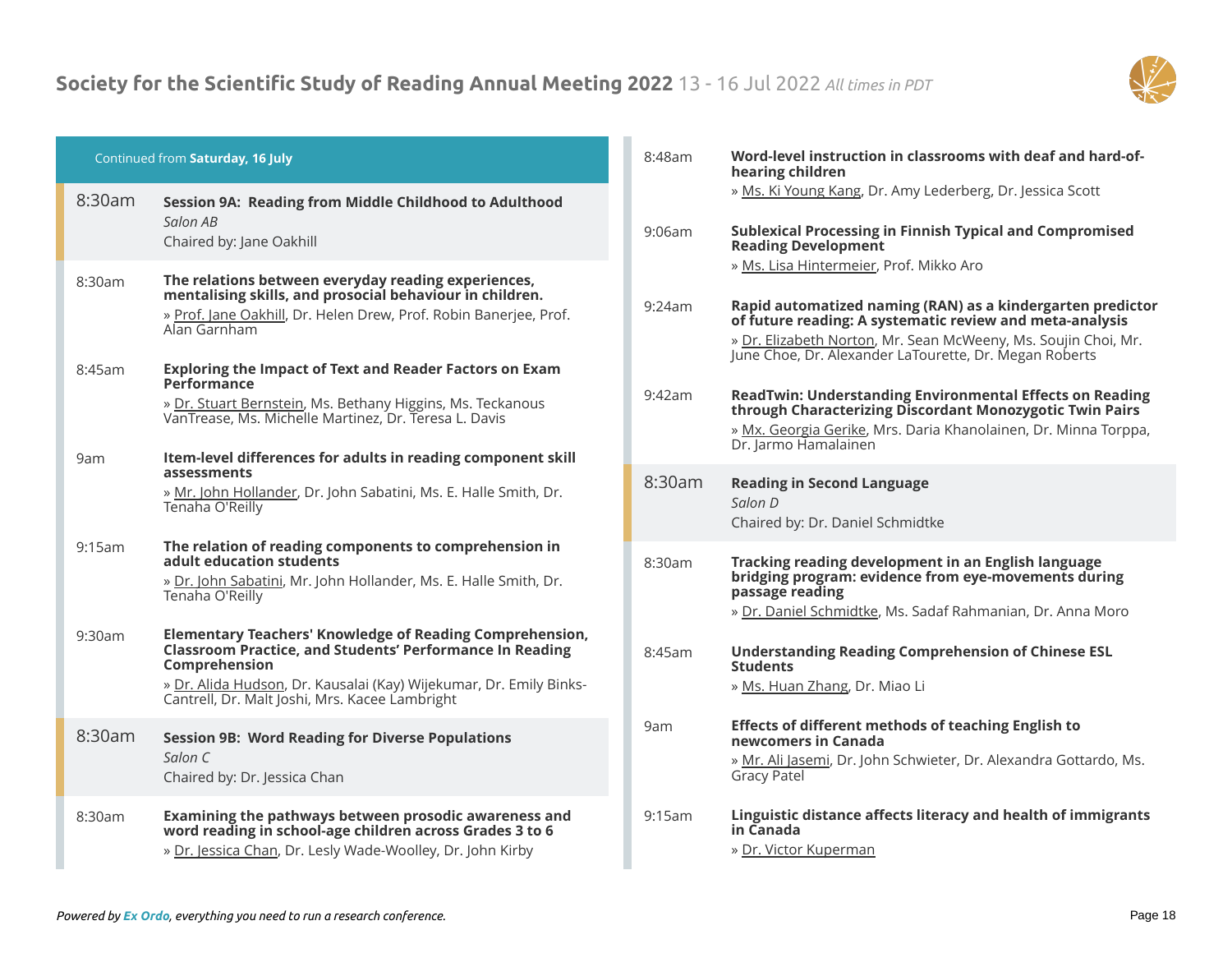

| Continued from Saturday, 16 July |               | 8:48am                                                                                                                                                                                                                                                               | Word-level instruction in classrooms with deaf and hard-of-<br>hearing children |                                                                                                                                                                                                                                                                                  |
|----------------------------------|---------------|----------------------------------------------------------------------------------------------------------------------------------------------------------------------------------------------------------------------------------------------------------------------|---------------------------------------------------------------------------------|----------------------------------------------------------------------------------------------------------------------------------------------------------------------------------------------------------------------------------------------------------------------------------|
|                                  | 8:30am        | Session 9A: Reading from Middle Childhood to Adulthood<br>Salon AB                                                                                                                                                                                                   | 9:06am                                                                          | » Ms. Ki Young Kang, Dr. Amy Lederberg, Dr. Jessica Scott<br><b>Sublexical Processing in Finnish Typical and Compromised</b>                                                                                                                                                     |
|                                  | 8:30am        | Chaired by: Jane Oakhill<br>The relations between everyday reading experiences,<br>mentalising skills, and prosocial behaviour in children.<br>» Prof. Jane Oakhill, Dr. Helen Drew, Prof. Robin Banerjee, Prof.<br>Alan Garnham                                     | 9:24am                                                                          | <b>Reading Development</b><br>» Ms. Lisa Hintermeier, Prof. Mikko Aro<br>Rapid automatized naming (RAN) as a kindergarten predictor<br>of future reading: A systematic review and meta-analysis<br>» Dr. Elizabeth Norton, Mr. Sean McWeeny, Ms. Soujin Choi, Mr.                |
|                                  | 8:45am<br>9am | <b>Exploring the Impact of Text and Reader Factors on Exam</b><br>Performance<br>» Dr. Stuart Bernstein, Ms. Bethany Higgins, Ms. Teckanous<br>VanTrease, Ms. Michelle Martinez, Dr. Teresa L. Davis<br>Item-level differences for adults in reading component skill | 9:42am                                                                          | June Choe, Dr. Alexander LaTourette, Dr. Megan Roberts<br><b>ReadTwin: Understanding Environmental Effects on Reading</b><br>through Characterizing Discordant Monozygotic Twin Pairs<br>» Mx. Georgia Gerike, Mrs. Daria Khanolainen, Dr. Minna Torppa,<br>Dr. Jarmo Hamalainen |
|                                  |               | assessments<br>» Mr. John Hollander, Dr. John Sabatini, Ms. E. Halle Smith, Dr.<br>Tenaha O'Reilly                                                                                                                                                                   | 8:30am                                                                          | <b>Reading in Second Language</b><br>Salon D<br>Chaired by: Dr. Daniel Schmidtke                                                                                                                                                                                                 |
|                                  | 9:15am        | The relation of reading components to comprehension in<br>adult education students<br>» Dr. John Sabatini, Mr. John Hollander, Ms. E. Halle Smith, Dr.<br>Tenaha O'Reilly                                                                                            | 8:30am                                                                          | Tracking reading development in an English language<br>bridging program: evidence from eye-movements during<br>passage reading<br>» Dr. Daniel Schmidtke, Ms. Sadaf Rahmanian, Dr. Anna Moro                                                                                     |
|                                  | 9:30am        | Elementary Teachers' Knowledge of Reading Comprehension,<br><b>Classroom Practice, and Students' Performance In Reading</b><br>Comprehension<br>» Dr. Alida Hudson, Dr. Kausalai (Kay) Wijekumar, Dr. Emily Binks-<br>Cantrell, Dr. Malt Joshi, Mrs. Kacee Lambright | 8:45am                                                                          | <b>Understanding Reading Comprehension of Chinese ESL</b><br><b>Students</b><br>» Ms. Huan Zhang, Dr. Miao Li                                                                                                                                                                    |
|                                  | 8:30am        | <b>Session 9B: Word Reading for Diverse Populations</b><br>Salon C<br>Chaired by: Dr. Jessica Chan                                                                                                                                                                   | 9am                                                                             | <b>Effects of different methods of teaching English to</b><br>newcomers in Canada<br>» Mr. Ali Jasemi, Dr. John Schwieter, Dr. Alexandra Gottardo, Ms.<br><b>Gracy Patel</b>                                                                                                     |
|                                  | 8:30am        | Examining the pathways between prosodic awareness and<br>word reading in school-age children across Grades 3 to 6<br>» Dr. Jessica Chan, Dr. Lesly Wade-Woolley, Dr. John Kirby                                                                                      | 9:15am                                                                          | Linguistic distance affects literacy and health of immigrants<br>in Canada<br>» Dr. Victor Kuperman                                                                                                                                                                              |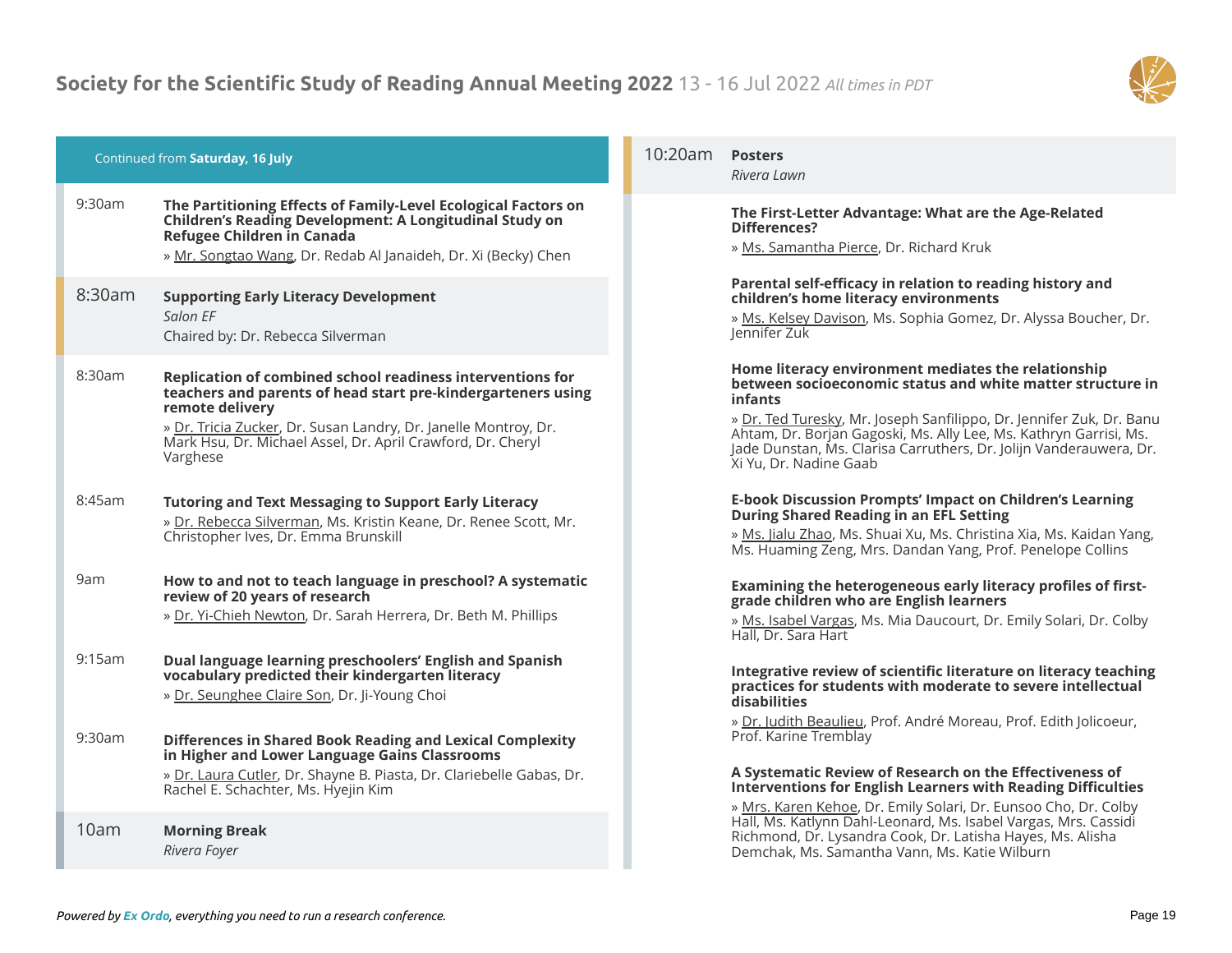

| Continued from Saturday, 16 July | 10:20am                                                                                                                                                                                                                                                                                     | Po<br>Riv |                                                               |
|----------------------------------|---------------------------------------------------------------------------------------------------------------------------------------------------------------------------------------------------------------------------------------------------------------------------------------------|-----------|---------------------------------------------------------------|
| 9:30am                           | The Partitioning Effects of Family-Level Ecological Factors on<br><b>Children's Reading Development: A Longitudinal Study on</b><br>Refugee Children in Canada<br>» Mr. Songtao Wang, Dr. Redab Al Janaideh, Dr. Xi (Becky) Chen                                                            |           | Τh<br>Di<br>≫ <u>N</u>                                        |
| 8:30am                           | <b>Supporting Early Literacy Development</b><br>Salon EF<br>Chaired by: Dr. Rebecca Silverman                                                                                                                                                                                               |           | Pa<br>ch<br>» <u>M</u><br>Jer                                 |
| 8:30am                           | Replication of combined school readiness interventions for<br>teachers and parents of head start pre-kindergarteners using<br>remote delivery<br>» Dr. Tricia Zucker, Dr. Susan Landry, Dr. Janelle Montroy, Dr.<br>Mark Hsu, Dr. Michael Assel, Dr. April Crawford, Dr. Cheryl<br>Varghese |           | Ho<br>be<br>inf<br>$\rightarrow \square$<br>Ah<br>Jac<br>Xi i |
| 8:45am                           | <b>Tutoring and Text Messaging to Support Early Literacy</b><br>» Dr. Rebecca Silverman, Ms. Kristin Keane, Dr. Renee Scott, Mr.<br>Christopher Ives, Dr. Emma Brunskill                                                                                                                    |           | E-l<br>Dι<br>≫ N<br>$\overline{\mathsf{M}}$                   |
| 9am                              | How to and not to teach language in preschool? A systematic<br>review of 20 years of research<br>» Dr. Yi-Chieh Newton, Dr. Sarah Herrera, Dr. Beth M. Phillips                                                                                                                             |           | Ex<br>gra<br>» N<br>Ha                                        |
| 9:15am                           | Dual language learning preschoolers' English and Spanish<br>vocabulary predicted their kindergarten literacy<br>» Dr. Seunghee Claire Son, Dr. Ji-Young Choi                                                                                                                                |           | Int<br>pr<br>dis<br>» [                                       |
| 9:30am                           | <b>Differences in Shared Book Reading and Lexical Complexity</b><br>in Higher and Lower Language Gains Classrooms<br>» Dr. Laura Cutler, Dr. Shayne B. Piasta, Dr. Clariebelle Gabas, Dr.<br>Rachel E. Schachter, Ms. Hyejin Kim                                                            |           | Pro<br>A :<br>Int<br>$\rightarrow \underline{N}$              |
| 10am                             | <b>Morning Break</b><br>Rivera Fover                                                                                                                                                                                                                                                        |           | Ha<br>Rio<br>De                                               |

# 10:20am **Posters**

*Rivera Lawn*

# **The First-Letter Advantage: What are the Age-Related Differences?**

Ms. Samantha Pierce, Dr. Richard Kruk

# **Parental self-efficacy in relation to reading history and children's home literacy environments**

» Ms. Kelsey Davison, Ms. Sophia Gomez, Dr. Alyssa Boucher, Dr. nnifer Zuk

# **Home literacy environment mediates the relationship between socioeconomic status and white matter structure in infants**

» Dr. Ted Turesky, Mr. Joseph Sanfilippo, Dr. Jennifer Zuk, Dr. Banu itam, Dr. Borjan Gagoski, Ms. Ally Lee, Ms. Kathryn Garrisi, Ms. de Dunstan, Ms. Clarisa Carruthers, Dr. Jolijn Vanderauwera, Dr. Yu, Dr. Nadine Gaab

# **E-book Discussion Prompts' Impact on Children's Learning During Shared Reading in an EFL Setting**

Ms. Jialu Zhao, Ms. Shuai Xu, Ms. Christina Xia, Ms. Kaidan Yang, s. Huaming Zeng, Mrs. Dandan Yang, Prof. Penelope Collins

# amining the heterogeneous early literacy profiles of first**grade children who are English learners**

» Ms. Isabel Vargas, Ms. Mia Daucourt, Dr. Emily Solari, Dr. Colby all, Dr. Sara Hart

# **Integrative review of scientific literature on literacy teaching practices for students with moderate to severe intellectual disabilities**

» Dr. Judith Beaulieu, Prof. André Moreau, Prof. Edith Jolicoeur, of. Karine Tremblay

# **A Systematic Review of Research on the Effectiveness of Interventions for English Learners with Reading Difficulties**

» Mrs. Karen Kehoe, Dr. Emily Solari, Dr. Eunsoo Cho, Dr. Colby all, Ms. Katlynn Dahl-Leonard, Ms. Isabel Vargas, Mrs. Cassidi chmond, Dr. Lysandra Cook, Dr. Latisha Hayes, Ms. Alisha Demchak, Ms. Samantha Vann, Ms. Katie Wilburn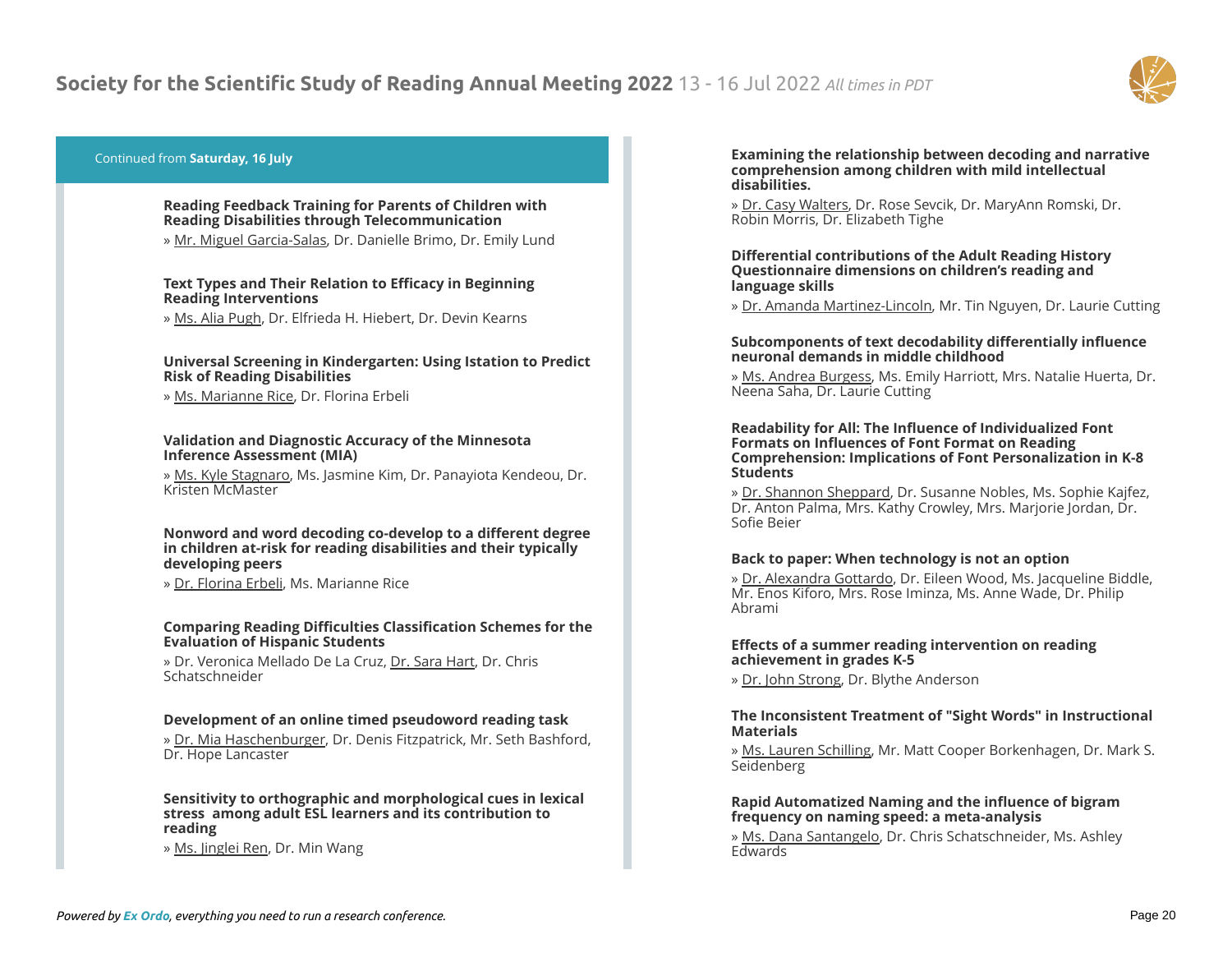

# Continued from **Saturday, 16 July**

# **Reading Feedback Training for Parents of Children with Reading Disabilities through Telecommunication**

» Mr. Miguel Garcia-Salas, Dr. Danielle Brimo, Dr. Emily Lund

# **Text Types and Their Relation to Efficacy in Beginning Reading Interventions**

» Ms. Alia Pugh, Dr. Elfrieda H. Hiebert, Dr. Devin Kearns

# **Universal Screening in Kindergarten: Using Istation to Predict Risk of Reading Disabilities**

» Ms. Marianne Rice, Dr. Florina Erbeli

#### **Validation and Diagnostic Accuracy of the Minnesota Inference Assessment (MIA)**

» Ms. Kyle Stagnaro, Ms. Jasmine Kim, Dr. Panayiota Kendeou, Dr. Kristen McMaster

#### **Nonword and word decoding co-develop to a different degree in children at-risk for reading disabilities and their typically developing peers**

» Dr. Florina Erbeli, Ms. Marianne Rice

# **Comparing Reading Difficulties Classification Schemes for the Evaluation of Hispanic Students**

» Dr. Veronica Mellado De La Cruz, Dr. Sara Hart, Dr. Chris Schatschneider

# **Development of an online timed pseudoword reading task**

» Dr. Mia Haschenburger, Dr. Denis Fitzpatrick, Mr. Seth Bashford, Dr. Hope Lancaster

#### **Sensitivity to orthographic and morphological cues in lexical stress among adult ESL learners and its contribution to reading**

» Ms. Jinglei Ren, Dr. Min Wang

#### **Examining the relationship between decoding and narrative comprehension among children with mild intellectual disabilities.**

» Dr. Casy Walters, Dr. Rose Sevcik, Dr. MaryAnn Romski, Dr. Robin Morris, Dr. Elizabeth Tighe

#### **Differential contributions of the Adult Reading History Questionnaire dimensions on children's reading and language skills**

» Dr. Amanda Martinez-Lincoln, Mr. Tin Nguyen, Dr. Laurie Cutting

# **Subcomponents of text decodability differentially influence neuronal demands in middle childhood**

» Ms. Andrea Burgess, Ms. Emily Harriott, Mrs. Natalie Huerta, Dr. Neena Saha, Dr. Laurie Cutting

#### **Readability for All: The Influence of Individualized Font Formats on Influences of Font Format on Reading Comprehension: Implications of Font Personalization in K-8 Students**

» Dr. Shannon Sheppard, Dr. Susanne Nobles, Ms. Sophie Kajfez, Dr. Anton Palma, Mrs. Kathy Crowley, Mrs. Marjorie Jordan, Dr. Sofie Beier

# **Back to paper: When technology is not an option**

» Dr. Alexandra Gottardo, Dr. Eileen Wood, Ms. Jacqueline Biddle, Mr. Enos Kiforo, Mrs. Rose Iminza, Ms. Anne Wade, Dr. Philip Abrami

# **Effects of a summer reading intervention on reading achievement in grades K-5**

» Dr. John Strong, Dr. Blythe Anderson

# **The Inconsistent Treatment of "Sight Words" in Instructional Materials**

» Ms. Lauren Schilling, Mr. Matt Cooper Borkenhagen, Dr. Mark S. Seidenberg

# **Rapid Automatized Naming and the influence of bigram frequency on naming speed: a meta-analysis**

» Ms. Dana Santangelo, Dr. Chris Schatschneider, Ms. Ashley **Edwards**